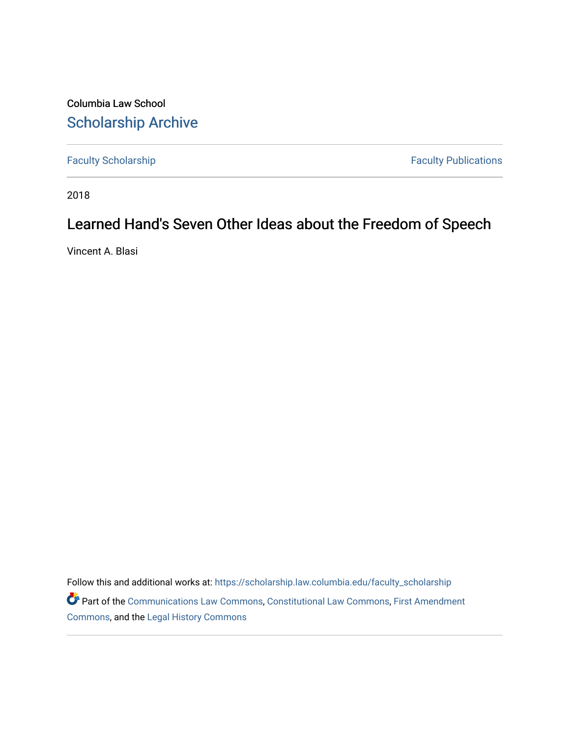Columbia Law School [Scholarship Archive](https://scholarship.law.columbia.edu/) 

[Faculty Scholarship](https://scholarship.law.columbia.edu/faculty_scholarship) **Faculty Publications** 

2018

# Learned Hand's Seven Other Ideas about the Freedom of Speech

Vincent A. Blasi

Follow this and additional works at: [https://scholarship.law.columbia.edu/faculty\\_scholarship](https://scholarship.law.columbia.edu/faculty_scholarship?utm_source=scholarship.law.columbia.edu%2Ffaculty_scholarship%2F2834&utm_medium=PDF&utm_campaign=PDFCoverPages) Part of the [Communications Law Commons,](http://network.bepress.com/hgg/discipline/587?utm_source=scholarship.law.columbia.edu%2Ffaculty_scholarship%2F2834&utm_medium=PDF&utm_campaign=PDFCoverPages) [Constitutional Law Commons,](http://network.bepress.com/hgg/discipline/589?utm_source=scholarship.law.columbia.edu%2Ffaculty_scholarship%2F2834&utm_medium=PDF&utm_campaign=PDFCoverPages) [First Amendment](http://network.bepress.com/hgg/discipline/1115?utm_source=scholarship.law.columbia.edu%2Ffaculty_scholarship%2F2834&utm_medium=PDF&utm_campaign=PDFCoverPages)  [Commons](http://network.bepress.com/hgg/discipline/1115?utm_source=scholarship.law.columbia.edu%2Ffaculty_scholarship%2F2834&utm_medium=PDF&utm_campaign=PDFCoverPages), and the [Legal History Commons](http://network.bepress.com/hgg/discipline/904?utm_source=scholarship.law.columbia.edu%2Ffaculty_scholarship%2F2834&utm_medium=PDF&utm_campaign=PDFCoverPages)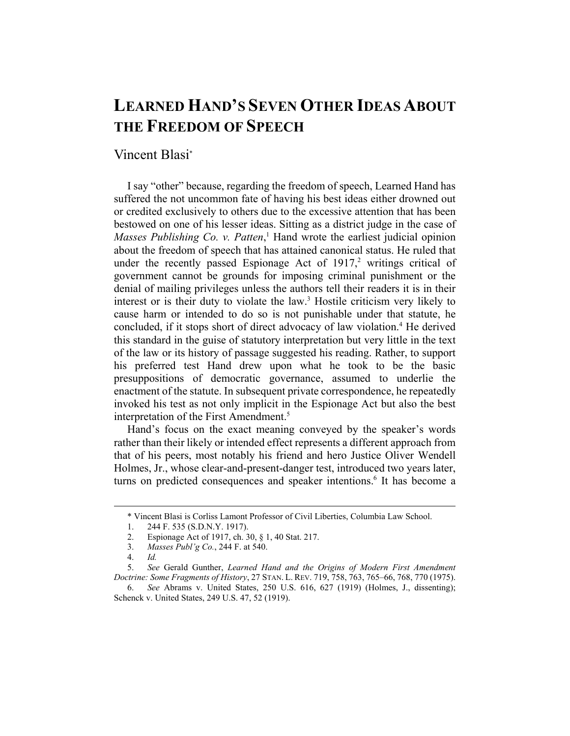# **LEARNED HAND'S SEVEN OTHER IDEAS ABOUT THE FREEDOM OF SPEECH**

# Vincent Blasi\*

I say "other" because, regarding the freedom of speech, Learned Hand has suffered the not uncommon fate of having his best ideas either drowned out or credited exclusively to others due to the excessive attention that has been bestowed on one of his lesser ideas. Sitting as a district judge in the case of Masses Publishing Co. v. Patten,<sup>1</sup> Hand wrote the earliest judicial opinion about the freedom of speech that has attained canonical status. He ruled that under the recently passed Espionage Act of  $1917$ ,<sup>2</sup> writings critical of government cannot be grounds for imposing criminal punishment or the denial of mailing privileges unless the authors tell their readers it is in their interest or is their duty to violate the law.<sup>3</sup> Hostile criticism very likely to cause harm or intended to do so is not punishable under that statute, he concluded, if it stops short of direct advocacy of law violation.<sup>4</sup> He derived this standard in the guise of statutory interpretation but very little in the text of the law or its history of passage suggested his reading. Rather, to support his preferred test Hand drew upon what he took to be the basic presuppositions of democratic governance, assumed to underlie the enactment of the statute. In subsequent private correspondence, he repeatedly invoked his test as not only implicit in the Espionage Act but also the best interpretation of the First Amendment.<sup>5</sup>

Hand's focus on the exact meaning conveyed by the speaker's words rather than their likely or intended effect represents a different approach from that of his peers, most notably his friend and hero Justice Oliver Wendell Holmes, Jr., whose clear-and-present-danger test, introduced two years later, turns on predicted consequences and speaker intentions.<sup>6</sup> It has become a

 <sup>\*</sup> Vincent Blasi is Corliss Lamont Professor of Civil Liberties, Columbia Law School.

 <sup>1. 244</sup> F. 535 (S.D.N.Y. 1917).

 <sup>2.</sup> Espionage Act of 1917, ch. 30, § 1, 40 Stat. 217.

 <sup>3.</sup> *Masses Publ'g Co.*, 244 F. at 540.

<sup>4.</sup> *Id.*

<sup>5.</sup> *See* Gerald Gunther, *Learned Hand and the Origins of Modern First Amendment Doctrine: Some Fragments of History*, 27 STAN. L. REV. 719, 758, 763, 765–66, 768, 770 (1975).

<sup>6.</sup> *See* Abrams v. United States, 250 U.S. 616, 627 (1919) (Holmes, J., dissenting); Schenck v. United States, 249 U.S. 47, 52 (1919).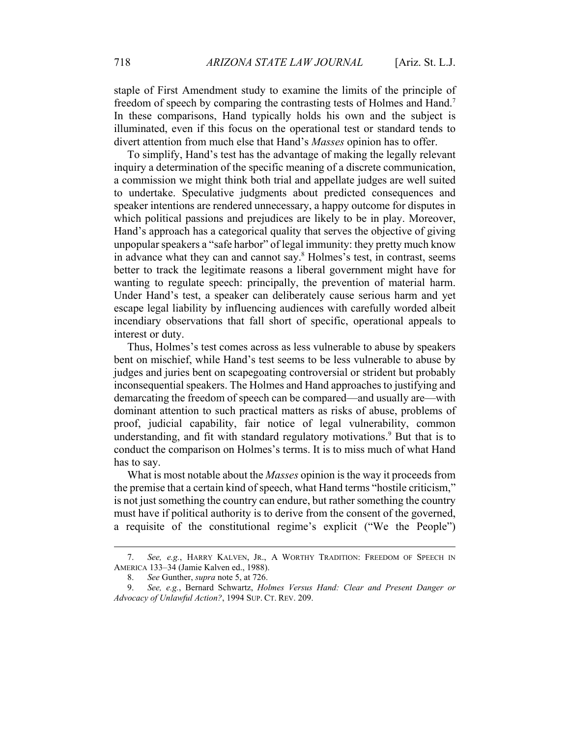staple of First Amendment study to examine the limits of the principle of freedom of speech by comparing the contrasting tests of Holmes and Hand.7 In these comparisons, Hand typically holds his own and the subject is illuminated, even if this focus on the operational test or standard tends to divert attention from much else that Hand's *Masses* opinion has to offer.

To simplify, Hand's test has the advantage of making the legally relevant inquiry a determination of the specific meaning of a discrete communication, a commission we might think both trial and appellate judges are well suited to undertake. Speculative judgments about predicted consequences and speaker intentions are rendered unnecessary, a happy outcome for disputes in which political passions and prejudices are likely to be in play. Moreover, Hand's approach has a categorical quality that serves the objective of giving unpopular speakers a "safe harbor" of legal immunity: they pretty much know in advance what they can and cannot say.<sup>8</sup> Holmes's test, in contrast, seems better to track the legitimate reasons a liberal government might have for wanting to regulate speech: principally, the prevention of material harm. Under Hand's test, a speaker can deliberately cause serious harm and yet escape legal liability by influencing audiences with carefully worded albeit incendiary observations that fall short of specific, operational appeals to interest or duty.

Thus, Holmes's test comes across as less vulnerable to abuse by speakers bent on mischief, while Hand's test seems to be less vulnerable to abuse by judges and juries bent on scapegoating controversial or strident but probably inconsequential speakers. The Holmes and Hand approaches to justifying and demarcating the freedom of speech can be compared—and usually are—with dominant attention to such practical matters as risks of abuse, problems of proof, judicial capability, fair notice of legal vulnerability, common understanding, and fit with standard regulatory motivations.<sup>9</sup> But that is to conduct the comparison on Holmes's terms. It is to miss much of what Hand has to say.

What is most notable about the *Masses* opinion is the way it proceeds from the premise that a certain kind of speech, what Hand terms "hostile criticism," is not just something the country can endure, but rather something the country must have if political authority is to derive from the consent of the governed, a requisite of the constitutional regime's explicit ("We the People")

 <sup>7.</sup> *See, e.g.*, HARRY KALVEN, JR., A WORTHY TRADITION: FREEDOM OF SPEECH IN AMERICA 133–34 (Jamie Kalven ed., 1988).

 <sup>8.</sup> *See* Gunther, *supra* note 5, at 726.

<sup>9.</sup> *See, e.g.*, Bernard Schwartz, *Holmes Versus Hand: Clear and Present Danger or Advocacy of Unlawful Action?*, 1994 SUP. CT. REV. 209.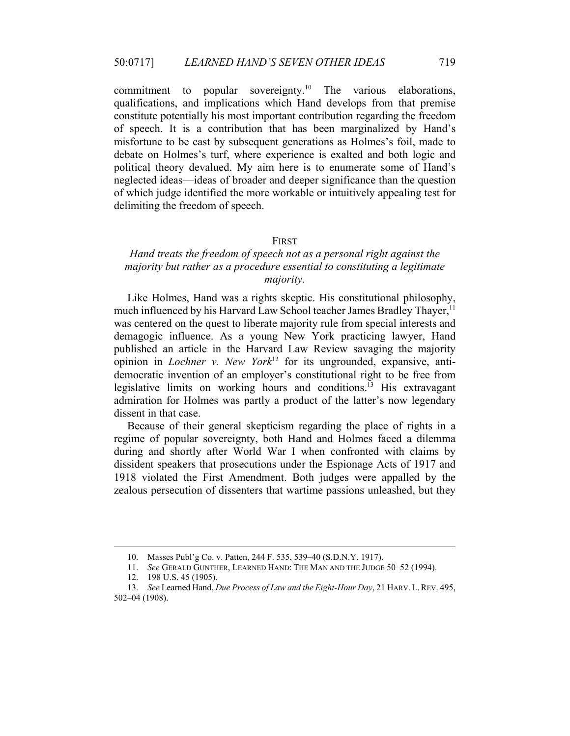commitment to popular sovereignty.<sup>10</sup> The various elaborations, qualifications, and implications which Hand develops from that premise constitute potentially his most important contribution regarding the freedom of speech. It is a contribution that has been marginalized by Hand's misfortune to be cast by subsequent generations as Holmes's foil, made to debate on Holmes's turf, where experience is exalted and both logic and political theory devalued. My aim here is to enumerate some of Hand's neglected ideas—ideas of broader and deeper significance than the question of which judge identified the more workable or intuitively appealing test for delimiting the freedom of speech.

#### FIRST

# *Hand treats the freedom of speech not as a personal right against the majority but rather as a procedure essential to constituting a legitimate majority.*

Like Holmes, Hand was a rights skeptic. His constitutional philosophy, much influenced by his Harvard Law School teacher James Bradley Thayer,<sup>11</sup> was centered on the quest to liberate majority rule from special interests and demagogic influence. As a young New York practicing lawyer, Hand published an article in the Harvard Law Review savaging the majority opinion in *Lochner v. New York*12 for its ungrounded, expansive, antidemocratic invention of an employer's constitutional right to be free from legislative limits on working hours and conditions.13 His extravagant admiration for Holmes was partly a product of the latter's now legendary dissent in that case.

Because of their general skepticism regarding the place of rights in a regime of popular sovereignty, both Hand and Holmes faced a dilemma during and shortly after World War I when confronted with claims by dissident speakers that prosecutions under the Espionage Acts of 1917 and 1918 violated the First Amendment. Both judges were appalled by the zealous persecution of dissenters that wartime passions unleashed, but they

 <sup>10.</sup> Masses Publ'g Co. v. Patten, 244 F. 535, 539–40 (S.D.N.Y. 1917). 11. *See* GERALD GUNTHER, LEARNED HAND: THE MAN AND THE JUDGE 50–52 (1994).

 <sup>12. 198</sup> U.S. 45 (1905).

<sup>13.</sup> *See* Learned Hand, *Due Process of Law and the Eight-Hour Day*, 21 HARV. L.REV. 495, 502–04 (1908).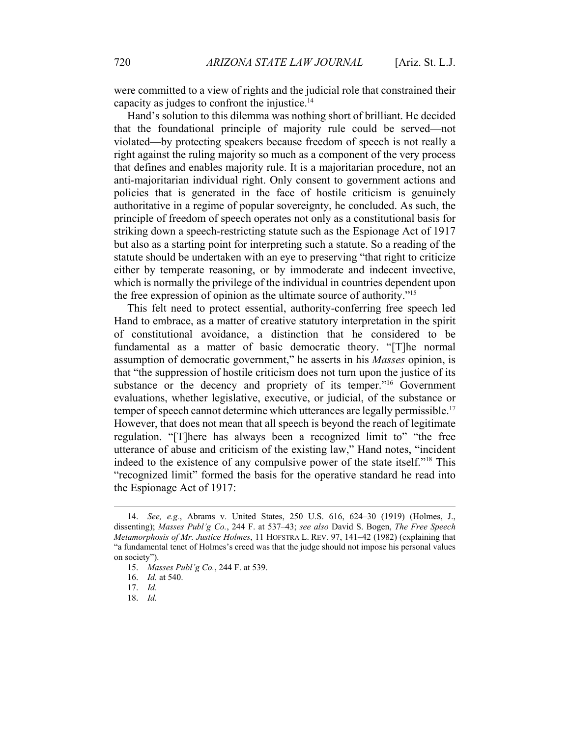were committed to a view of rights and the judicial role that constrained their capacity as judges to confront the injustice.14

Hand's solution to this dilemma was nothing short of brilliant. He decided that the foundational principle of majority rule could be served—not violated—by protecting speakers because freedom of speech is not really a right against the ruling majority so much as a component of the very process that defines and enables majority rule. It is a majoritarian procedure, not an anti-majoritarian individual right. Only consent to government actions and policies that is generated in the face of hostile criticism is genuinely authoritative in a regime of popular sovereignty, he concluded. As such, the principle of freedom of speech operates not only as a constitutional basis for striking down a speech-restricting statute such as the Espionage Act of 1917 but also as a starting point for interpreting such a statute. So a reading of the statute should be undertaken with an eye to preserving "that right to criticize either by temperate reasoning, or by immoderate and indecent invective, which is normally the privilege of the individual in countries dependent upon the free expression of opinion as the ultimate source of authority."15

This felt need to protect essential, authority-conferring free speech led Hand to embrace, as a matter of creative statutory interpretation in the spirit of constitutional avoidance, a distinction that he considered to be fundamental as a matter of basic democratic theory. "[T]he normal assumption of democratic government," he asserts in his *Masses* opinion, is that "the suppression of hostile criticism does not turn upon the justice of its substance or the decency and propriety of its temper."<sup>16</sup> Government evaluations, whether legislative, executive, or judicial, of the substance or temper of speech cannot determine which utterances are legally permissible.<sup>17</sup> However, that does not mean that all speech is beyond the reach of legitimate regulation. "[T]here has always been a recognized limit to" "the free utterance of abuse and criticism of the existing law," Hand notes, "incident indeed to the existence of any compulsive power of the state itself."18 This "recognized limit" formed the basis for the operative standard he read into the Espionage Act of 1917:

 <sup>14.</sup> *See, e.g.*, Abrams v. United States, 250 U.S. 616, 624–30 (1919) (Holmes, J., dissenting); *Masses Publ'g Co.*, 244 F. at 537–43; *see also* David S. Bogen, *The Free Speech Metamorphosis of Mr. Justice Holmes*, 11 HOFSTRA L. REV. 97, 141–42 (1982) (explaining that "a fundamental tenet of Holmes's creed was that the judge should not impose his personal values on society"). 15. *Masses Publ'g Co.*, 244 F. at 539.

<sup>16.</sup> *Id.* at 540.

<sup>17.</sup> *Id.*

<sup>18.</sup> *Id.*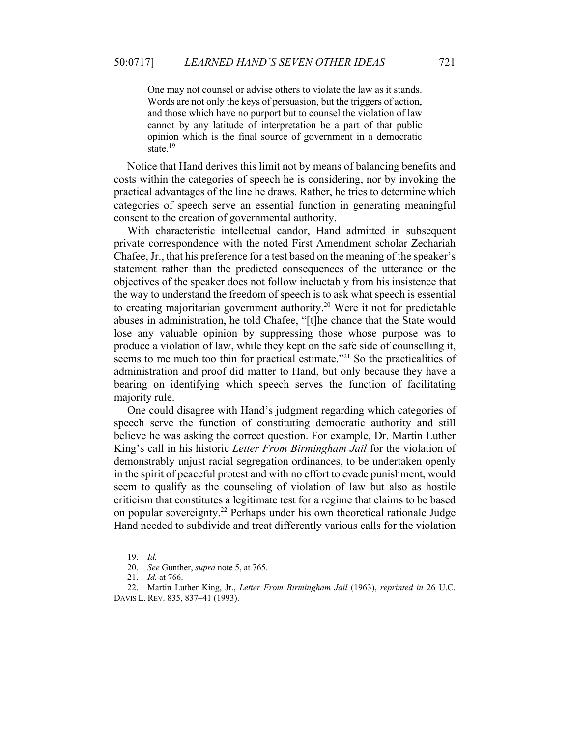One may not counsel or advise others to violate the law as it stands. Words are not only the keys of persuasion, but the triggers of action, and those which have no purport but to counsel the violation of law cannot by any latitude of interpretation be a part of that public opinion which is the final source of government in a democratic state.<sup>19</sup>

Notice that Hand derives this limit not by means of balancing benefits and costs within the categories of speech he is considering, nor by invoking the practical advantages of the line he draws. Rather, he tries to determine which categories of speech serve an essential function in generating meaningful consent to the creation of governmental authority.

With characteristic intellectual candor, Hand admitted in subsequent private correspondence with the noted First Amendment scholar Zechariah Chafee, Jr., that his preference for a test based on the meaning of the speaker's statement rather than the predicted consequences of the utterance or the objectives of the speaker does not follow ineluctably from his insistence that the way to understand the freedom of speech is to ask what speech is essential to creating majoritarian government authority.<sup>20</sup> Were it not for predictable abuses in administration, he told Chafee, "[t]he chance that the State would lose any valuable opinion by suppressing those whose purpose was to produce a violation of law, while they kept on the safe side of counselling it, seems to me much too thin for practical estimate."<sup>21</sup> So the practicalities of administration and proof did matter to Hand, but only because they have a bearing on identifying which speech serves the function of facilitating majority rule.

One could disagree with Hand's judgment regarding which categories of speech serve the function of constituting democratic authority and still believe he was asking the correct question. For example, Dr. Martin Luther King's call in his historic *Letter From Birmingham Jail* for the violation of demonstrably unjust racial segregation ordinances, to be undertaken openly in the spirit of peaceful protest and with no effort to evade punishment, would seem to qualify as the counseling of violation of law but also as hostile criticism that constitutes a legitimate test for a regime that claims to be based on popular sovereignty.<sup>22</sup> Perhaps under his own theoretical rationale Judge Hand needed to subdivide and treat differently various calls for the violation

 <sup>19.</sup> *Id.*

<sup>20.</sup> *See* Gunther, *supra* note 5, at 765.

 <sup>21.</sup> *Id.* at 766.

 <sup>22.</sup> Martin Luther King, Jr., *Letter From Birmingham Jail* (1963), *reprinted in* 26 U.C. DAVIS L. REV. 835, 837–41 (1993).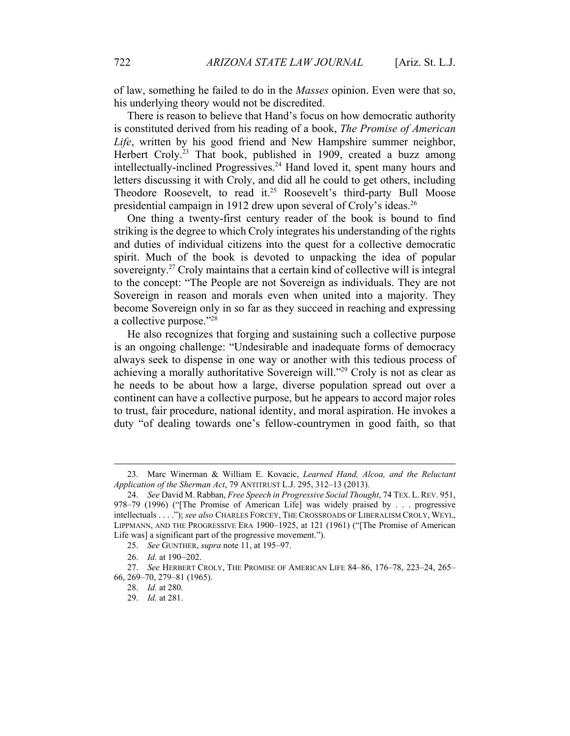of law, something he failed to do in the *Masses* opinion. Even were that so, his underlying theory would not be discredited.

There is reason to believe that Hand's focus on how democratic authority is constituted derived from his reading of a book, *The Promise of American Life*, written by his good friend and New Hampshire summer neighbor, Herbert Croly.<sup>23</sup> That book, published in 1909, created a buzz among intellectually-inclined Progressives.24 Hand loved it, spent many hours and letters discussing it with Croly, and did all he could to get others, including Theodore Roosevelt, to read it.<sup>25</sup> Roosevelt's third-party Bull Moose presidential campaign in 1912 drew upon several of Croly's ideas.<sup>26</sup>

One thing a twenty-first century reader of the book is bound to find striking is the degree to which Croly integrates his understanding of the rights and duties of individual citizens into the quest for a collective democratic spirit. Much of the book is devoted to unpacking the idea of popular sovereignty.<sup>27</sup> Croly maintains that a certain kind of collective will is integral to the concept: "The People are not Sovereign as individuals. They are not Sovereign in reason and morals even when united into a majority. They become Sovereign only in so far as they succeed in reaching and expressing a collective purpose."28

He also recognizes that forging and sustaining such a collective purpose is an ongoing challenge: "Undesirable and inadequate forms of democracy always seek to dispense in one way or another with this tedious process of achieving a morally authoritative Sovereign will."29 Croly is not as clear as he needs to be about how a large, diverse population spread out over a continent can have a collective purpose, but he appears to accord major roles to trust, fair procedure, national identity, and moral aspiration. He invokes a duty "of dealing towards one's fellow-countrymen in good faith, so that

 <sup>23.</sup> Marc Winerman & William E. Kovacic, *Learned Hand, Alcoa, and the Reluctant Application of the Sherman Act*, 79 ANTITRUST L.J. 295, 312–13 (2013).

<sup>24.</sup> *See* David M. Rabban, *Free Speech in Progressive Social Thought*, 74 TEX. L.REV. 951, 978–79 (1996) ("[The Promise of American Life] was widely praised by . . . progressive intellectuals . . . ."); *see also* CHARLES FORCEY, THE CROSSROADS OF LIBERALISM CROLY, WEYL, LIPPMANN, AND THE PROGRESSIVE ERA 1900–1925, at 121 (1961) ("[The Promise of American Life was] a significant part of the progressive movement.").

 <sup>25.</sup> *See* GUNTHER, *supra* note 11, at 195–97.

<sup>26.</sup> *Id.* at 190–202.

 <sup>27.</sup> *See* HERBERT CROLY, THE PROMISE OF AMERICAN LIFE 84–86, 176–78, 223–24, 265– 66, 269–70, 279–81 (1965).

 <sup>28.</sup> *Id.* at 280.

<sup>29.</sup> *Id.* at 281.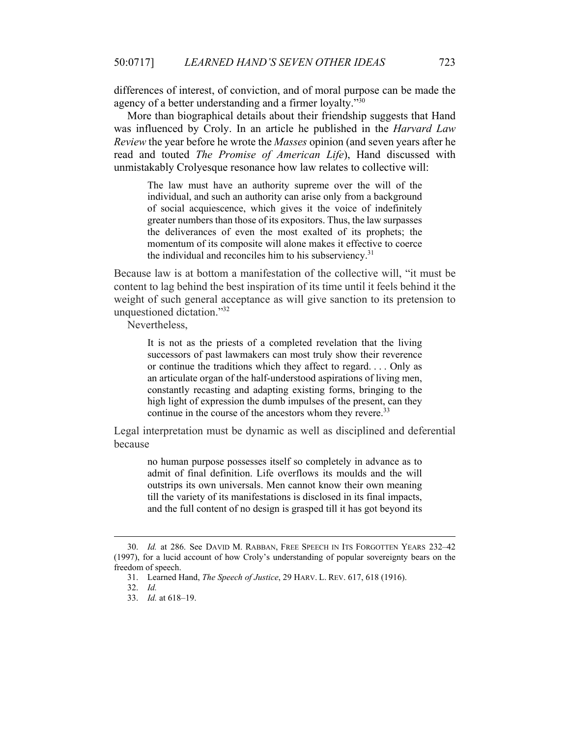differences of interest, of conviction, and of moral purpose can be made the agency of a better understanding and a firmer loyalty."<sup>30</sup>

More than biographical details about their friendship suggests that Hand was influenced by Croly. In an article he published in the *Harvard Law Review* the year before he wrote the *Masses* opinion (and seven years after he read and touted *The Promise of American Life*), Hand discussed with unmistakably Crolyesque resonance how law relates to collective will:

The law must have an authority supreme over the will of the individual, and such an authority can arise only from a background of social acquiescence, which gives it the voice of indefinitely greater numbers than those of its expositors. Thus, the law surpasses the deliverances of even the most exalted of its prophets; the momentum of its composite will alone makes it effective to coerce the individual and reconciles him to his subserviency. $31$ 

Because law is at bottom a manifestation of the collective will, "it must be content to lag behind the best inspiration of its time until it feels behind it the weight of such general acceptance as will give sanction to its pretension to unquestioned dictation."32

Nevertheless,

It is not as the priests of a completed revelation that the living successors of past lawmakers can most truly show their reverence or continue the traditions which they affect to regard. . . . Only as an articulate organ of the half-understood aspirations of living men, constantly recasting and adapting existing forms, bringing to the high light of expression the dumb impulses of the present, can they continue in the course of the ancestors whom they revere.<sup>33</sup>

Legal interpretation must be dynamic as well as disciplined and deferential because

no human purpose possesses itself so completely in advance as to admit of final definition. Life overflows its moulds and the will outstrips its own universals. Men cannot know their own meaning till the variety of its manifestations is disclosed in its final impacts, and the full content of no design is grasped till it has got beyond its

 <sup>30.</sup> *Id.* at 286. See DAVID M. RABBAN, FREE SPEECH IN ITS FORGOTTEN YEARS 232–42 (1997), for a lucid account of how Croly's understanding of popular sovereignty bears on the freedom of speech.

 <sup>31.</sup> Learned Hand, *The Speech of Justice*, 29 HARV. L. REV. 617, 618 (1916).

<sup>32.</sup> *Id.*

<sup>33.</sup> *Id.* at 618–19.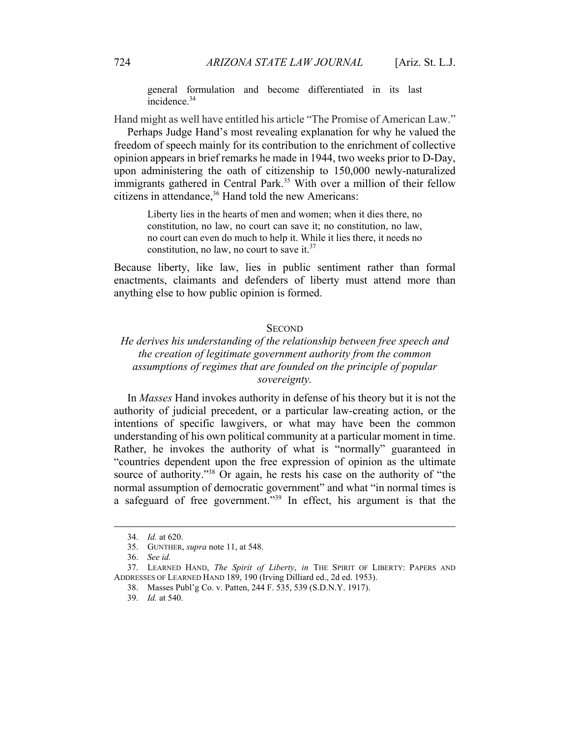general formulation and become differentiated in its last incidence.<sup>34</sup>

Hand might as well have entitled his article "The Promise of American Law."

Perhaps Judge Hand's most revealing explanation for why he valued the freedom of speech mainly for its contribution to the enrichment of collective opinion appears in brief remarks he made in 1944, two weeks prior to D-Day, upon administering the oath of citizenship to 150,000 newly-naturalized immigrants gathered in Central Park.<sup>35</sup> With over a million of their fellow citizens in attendance,<sup>36</sup> Hand told the new Americans:

Liberty lies in the hearts of men and women; when it dies there, no constitution, no law, no court can save it; no constitution, no law, no court can even do much to help it. While it lies there, it needs no constitution, no law, no court to save it. $37$ 

Because liberty, like law, lies in public sentiment rather than formal enactments, claimants and defenders of liberty must attend more than anything else to how public opinion is formed.

#### **SECOND**

## *He derives his understanding of the relationship between free speech and the creation of legitimate government authority from the common assumptions of regimes that are founded on the principle of popular sovereignty.*

In *Masses* Hand invokes authority in defense of his theory but it is not the authority of judicial precedent, or a particular law-creating action, or the intentions of specific lawgivers, or what may have been the common understanding of his own political community at a particular moment in time. Rather, he invokes the authority of what is "normally" guaranteed in "countries dependent upon the free expression of opinion as the ultimate source of authority."<sup>38</sup> Or again, he rests his case on the authority of "the normal assumption of democratic government" and what "in normal times is a safeguard of free government."39 In effect, his argument is that the

 <sup>34.</sup> *Id.* at 620.

 <sup>35.</sup> GUNTHER, *supra* note 11, at 548.

 <sup>36.</sup> *See id.*

 <sup>37.</sup> LEARNED HAND, *The Spirit of Liberty*, *in* THE SPIRIT OF LIBERTY: PAPERS AND ADDRESSES OF LEARNED HAND 189, 190 (Irving Dilliard ed., 2d ed. 1953).

 <sup>38.</sup> Masses Publ'g Co. v. Patten, 244 F. 535, 539 (S.D.N.Y. 1917).

 <sup>39.</sup> *Id.* at 540.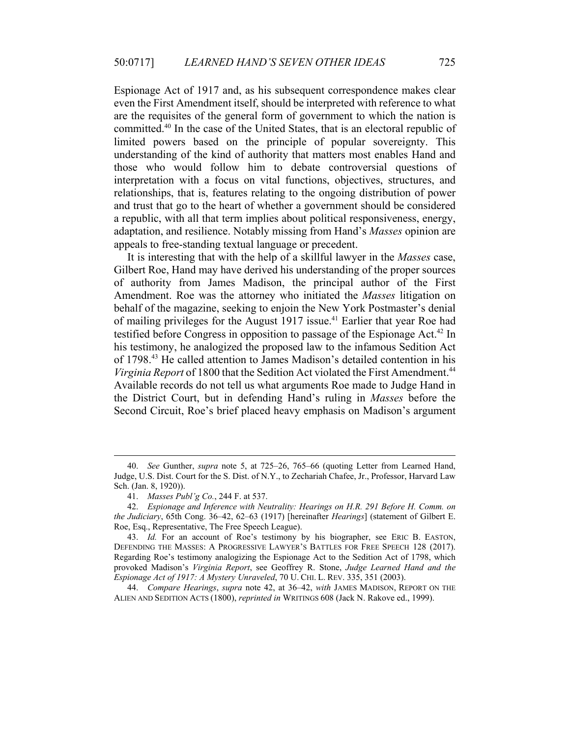Espionage Act of 1917 and, as his subsequent correspondence makes clear even the First Amendment itself, should be interpreted with reference to what are the requisites of the general form of government to which the nation is committed.40 In the case of the United States, that is an electoral republic of limited powers based on the principle of popular sovereignty. This understanding of the kind of authority that matters most enables Hand and those who would follow him to debate controversial questions of interpretation with a focus on vital functions, objectives, structures, and relationships, that is, features relating to the ongoing distribution of power and trust that go to the heart of whether a government should be considered a republic, with all that term implies about political responsiveness, energy, adaptation, and resilience. Notably missing from Hand's *Masses* opinion are appeals to free-standing textual language or precedent.

It is interesting that with the help of a skillful lawyer in the *Masses* case, Gilbert Roe, Hand may have derived his understanding of the proper sources of authority from James Madison, the principal author of the First Amendment. Roe was the attorney who initiated the *Masses* litigation on behalf of the magazine, seeking to enjoin the New York Postmaster's denial of mailing privileges for the August 1917 issue.<sup>41</sup> Earlier that year Roe had testified before Congress in opposition to passage of the Espionage Act.<sup>42</sup> In his testimony, he analogized the proposed law to the infamous Sedition Act of 1798.43 He called attention to James Madison's detailed contention in his *Virginia Report* of 1800 that the Sedition Act violated the First Amendment.<sup>44</sup> Available records do not tell us what arguments Roe made to Judge Hand in the District Court, but in defending Hand's ruling in *Masses* before the Second Circuit, Roe's brief placed heavy emphasis on Madison's argument

44. *Compare Hearings*, *supra* note 42, at 36–42, *with* JAMES MADISON, REPORT ON THE ALIEN AND SEDITION ACTS (1800), *reprinted in* WRITINGS 608 (Jack N. Rakove ed., 1999).

 <sup>40.</sup> *See* Gunther, *supra* note 5, at 725–26, 765–66 (quoting Letter from Learned Hand, Judge, U.S. Dist. Court for the S. Dist. of N.Y., to Zechariah Chafee, Jr., Professor, Harvard Law Sch. (Jan. 8, 1920)).

 <sup>41.</sup> *Masses Publ'g Co.*, 244 F. at 537.

<sup>42.</sup> *Espionage and Inference with Neutrality: Hearings on H.R. 291 Before H. Comm. on the Judiciary*, 65th Cong. 36–42, 62–63 (1917) [hereinafter *Hearings*] (statement of Gilbert E. Roe, Esq., Representative, The Free Speech League).

<sup>43.</sup> *Id.* For an account of Roe's testimony by his biographer, see ERIC B. EASTON, DEFENDING THE MASSES: A PROGRESSIVE LAWYER'S BATTLES FOR FREE SPEECH 128 (2017). Regarding Roe's testimony analogizing the Espionage Act to the Sedition Act of 1798, which provoked Madison's *Virginia Report*, see Geoffrey R. Stone, *Judge Learned Hand and the Espionage Act of 1917: A Mystery Unraveled*, 70 U. CHI. L. REV. 335, 351 (2003).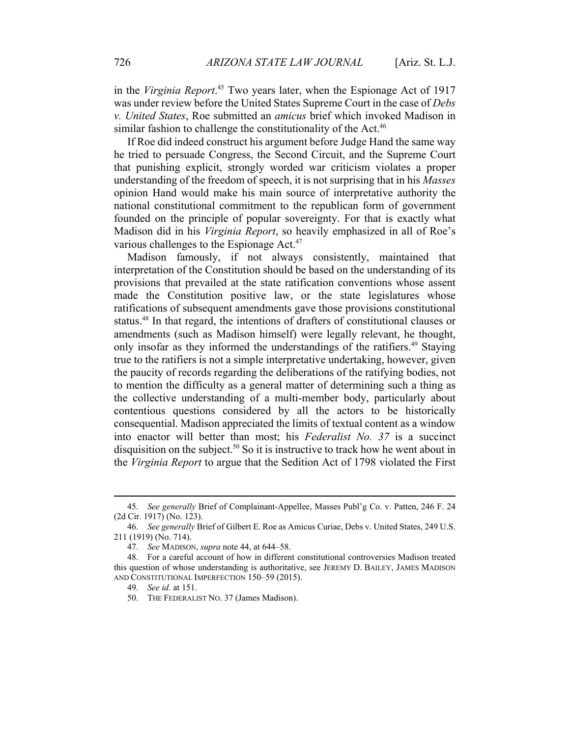in the *Virginia Report*. 45 Two years later, when the Espionage Act of 1917 was under review before the United States Supreme Court in the case of *Debs v. United States*, Roe submitted an *amicus* brief which invoked Madison in similar fashion to challenge the constitutionality of the Act.<sup>46</sup>

If Roe did indeed construct his argument before Judge Hand the same way he tried to persuade Congress, the Second Circuit, and the Supreme Court that punishing explicit, strongly worded war criticism violates a proper understanding of the freedom of speech, it is not surprising that in his *Masses* opinion Hand would make his main source of interpretative authority the national constitutional commitment to the republican form of government founded on the principle of popular sovereignty. For that is exactly what Madison did in his *Virginia Report*, so heavily emphasized in all of Roe's various challenges to the Espionage Act.<sup>47</sup>

Madison famously, if not always consistently, maintained that interpretation of the Constitution should be based on the understanding of its provisions that prevailed at the state ratification conventions whose assent made the Constitution positive law, or the state legislatures whose ratifications of subsequent amendments gave those provisions constitutional status.48 In that regard, the intentions of drafters of constitutional clauses or amendments (such as Madison himself) were legally relevant, he thought, only insofar as they informed the understandings of the ratifiers.<sup>49</sup> Staying true to the ratifiers is not a simple interpretative undertaking, however, given the paucity of records regarding the deliberations of the ratifying bodies, not to mention the difficulty as a general matter of determining such a thing as the collective understanding of a multi-member body, particularly about contentious questions considered by all the actors to be historically consequential. Madison appreciated the limits of textual content as a window into enactor will better than most; his *Federalist No. 37* is a succinct disquisition on the subject.<sup>50</sup> So it is instructive to track how he went about in the *Virginia Report* to argue that the Sedition Act of 1798 violated the First

 <sup>45.</sup> *See generally* Brief of Complainant-Appellee, Masses Publ'g Co. v. Patten, 246 F. 24 (2d Cir. 1917) (No. 123).

<sup>46.</sup> *See generally* Brief of Gilbert E. Roe as Amicus Curiae, Debs v. United States, 249 U.S. 211 (1919) (No. 714).

<sup>47.</sup> *See* MADISON, *supra* note 44, at 644–58.

 <sup>48.</sup> For a careful account of how in different constitutional controversies Madison treated this question of whose understanding is authoritative, see JEREMY D. BAILEY, JAMES MADISON AND CONSTITUTIONAL IMPERFECTION 150–59 (2015).

 <sup>49.</sup> *See id.* at 151.

 <sup>50.</sup> THE FEDERALIST NO. 37 (James Madison).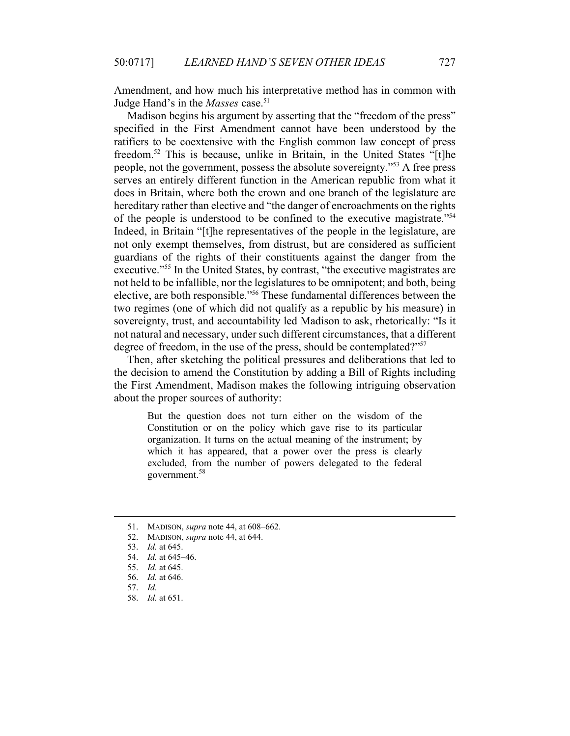Amendment, and how much his interpretative method has in common with Judge Hand's in the *Masses* case.<sup>51</sup>

Madison begins his argument by asserting that the "freedom of the press" specified in the First Amendment cannot have been understood by the ratifiers to be coextensive with the English common law concept of press freedom.<sup>52</sup> This is because, unlike in Britain, in the United States "[t]he people, not the government, possess the absolute sovereignty."53 A free press serves an entirely different function in the American republic from what it does in Britain, where both the crown and one branch of the legislature are hereditary rather than elective and "the danger of encroachments on the rights of the people is understood to be confined to the executive magistrate."54 Indeed, in Britain "[t]he representatives of the people in the legislature, are not only exempt themselves, from distrust, but are considered as sufficient guardians of the rights of their constituents against the danger from the executive."<sup>55</sup> In the United States, by contrast, "the executive magistrates are not held to be infallible, nor the legislatures to be omnipotent; and both, being elective, are both responsible."56 These fundamental differences between the two regimes (one of which did not qualify as a republic by his measure) in sovereignty, trust, and accountability led Madison to ask, rhetorically: "Is it not natural and necessary, under such different circumstances, that a different degree of freedom, in the use of the press, should be contemplated?"<sup>57</sup>

Then, after sketching the political pressures and deliberations that led to the decision to amend the Constitution by adding a Bill of Rights including the First Amendment, Madison makes the following intriguing observation about the proper sources of authority:

But the question does not turn either on the wisdom of the Constitution or on the policy which gave rise to its particular organization. It turns on the actual meaning of the instrument; by which it has appeared, that a power over the press is clearly excluded, from the number of powers delegated to the federal government.<sup>58</sup>

 <sup>51.</sup> MADISON, *supra* note 44, at 608–662.

 <sup>52.</sup> MADISON, *supra* note 44, at 644.

 <sup>53.</sup> *Id.* at 645.

 <sup>54.</sup> *Id.* at 645–46.

 <sup>55.</sup> *Id.* at 645.

<sup>56.</sup> *Id.* at 646.

<sup>57.</sup> *Id.*

<sup>58.</sup> *Id.* at 651.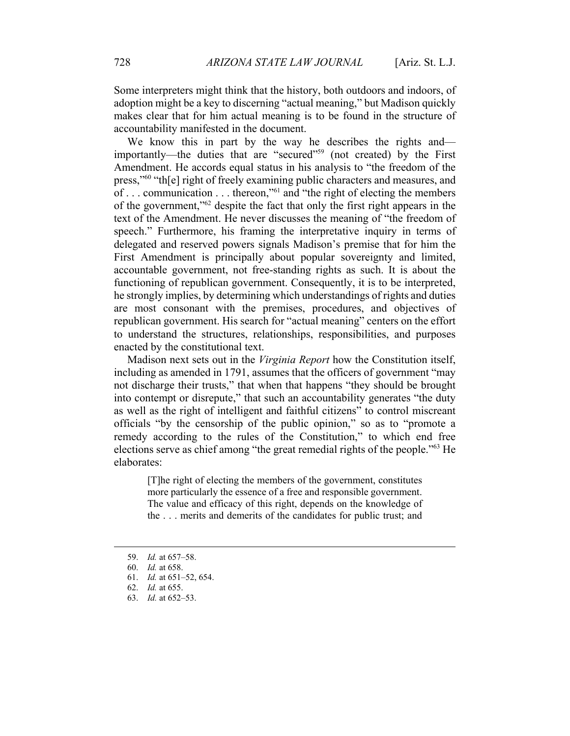Some interpreters might think that the history, both outdoors and indoors, of adoption might be a key to discerning "actual meaning," but Madison quickly makes clear that for him actual meaning is to be found in the structure of accountability manifested in the document.

We know this in part by the way he describes the rights and importantly—the duties that are "secured"<sup>59</sup> (not created) by the First Amendment. He accords equal status in his analysis to "the freedom of the press,"60 "th[e] right of freely examining public characters and measures, and of . . . communication . . . thereon,"61 and "the right of electing the members of the government,"62 despite the fact that only the first right appears in the text of the Amendment. He never discusses the meaning of "the freedom of speech." Furthermore, his framing the interpretative inquiry in terms of delegated and reserved powers signals Madison's premise that for him the First Amendment is principally about popular sovereignty and limited, accountable government, not free-standing rights as such. It is about the functioning of republican government. Consequently, it is to be interpreted, he strongly implies, by determining which understandings of rights and duties are most consonant with the premises, procedures, and objectives of republican government. His search for "actual meaning" centers on the effort to understand the structures, relationships, responsibilities, and purposes enacted by the constitutional text.

Madison next sets out in the *Virginia Report* how the Constitution itself, including as amended in 1791, assumes that the officers of government "may not discharge their trusts," that when that happens "they should be brought into contempt or disrepute," that such an accountability generates "the duty as well as the right of intelligent and faithful citizens" to control miscreant officials "by the censorship of the public opinion," so as to "promote a remedy according to the rules of the Constitution," to which end free elections serve as chief among "the great remedial rights of the people."63 He elaborates:

[T]he right of electing the members of the government, constitutes more particularly the essence of a free and responsible government. The value and efficacy of this right, depends on the knowledge of the . . . merits and demerits of the candidates for public trust; and

 <sup>59.</sup> *Id.* at 657–58.

<sup>60.</sup> *Id.* at 658.

<sup>61.</sup> *Id.* at 651–52, 654.

<sup>62.</sup> *Id.* at 655.

<sup>63.</sup> *Id.* at 652–53.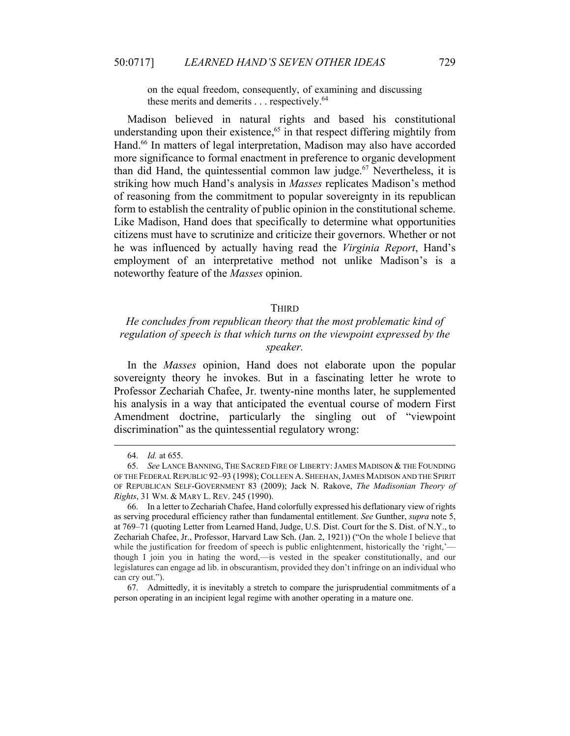on the equal freedom, consequently, of examining and discussing these merits and demerits  $\dots$  respectively.<sup>64</sup>

Madison believed in natural rights and based his constitutional understanding upon their existence, $65$  in that respect differing mightily from Hand.<sup>66</sup> In matters of legal interpretation, Madison may also have accorded more significance to formal enactment in preference to organic development than did Hand, the quintessential common law judge. $67$  Nevertheless, it is striking how much Hand's analysis in *Masses* replicates Madison's method of reasoning from the commitment to popular sovereignty in its republican form to establish the centrality of public opinion in the constitutional scheme. Like Madison, Hand does that specifically to determine what opportunities citizens must have to scrutinize and criticize their governors. Whether or not he was influenced by actually having read the *Virginia Report*, Hand's employment of an interpretative method not unlike Madison's is a noteworthy feature of the *Masses* opinion.

## **THIRD**

# *He concludes from republican theory that the most problematic kind of regulation of speech is that which turns on the viewpoint expressed by the speaker.*

In the *Masses* opinion, Hand does not elaborate upon the popular sovereignty theory he invokes. But in a fascinating letter he wrote to Professor Zechariah Chafee, Jr. twenty-nine months later, he supplemented his analysis in a way that anticipated the eventual course of modern First Amendment doctrine, particularly the singling out of "viewpoint discrimination" as the quintessential regulatory wrong:

 <sup>64.</sup> *Id.* at 655.

<sup>65.</sup> *See* LANCE BANNING, THE SACRED FIRE OF LIBERTY:JAMES MADISON & THE FOUNDING OF THE FEDERAL REPUBLIC 92–93 (1998); COLLEEN A. SHEEHAN,JAMES MADISON AND THE SPIRIT OF REPUBLICAN SELF-GOVERNMENT 83 (2009); Jack N. Rakove, *The Madisonian Theory of Rights*, 31 WM. & MARY L. REV. 245 (1990).

 <sup>66.</sup> In a letter to Zechariah Chafee, Hand colorfully expressed his deflationary view of rights as serving procedural efficiency rather than fundamental entitlement. *See* Gunther, *supra* note 5, at 769–71 (quoting Letter from Learned Hand, Judge, U.S. Dist. Court for the S. Dist. of N.Y., to Zechariah Chafee, Jr., Professor, Harvard Law Sch. (Jan. 2, 1921)) ("On the whole I believe that while the justification for freedom of speech is public enlightenment, historically the 'right,' though I join you in hating the word,—is vested in the speaker constitutionally, and our legislatures can engage ad lib. in obscurantism, provided they don't infringe on an individual who can cry out.").

 <sup>67.</sup> Admittedly, it is inevitably a stretch to compare the jurisprudential commitments of a person operating in an incipient legal regime with another operating in a mature one.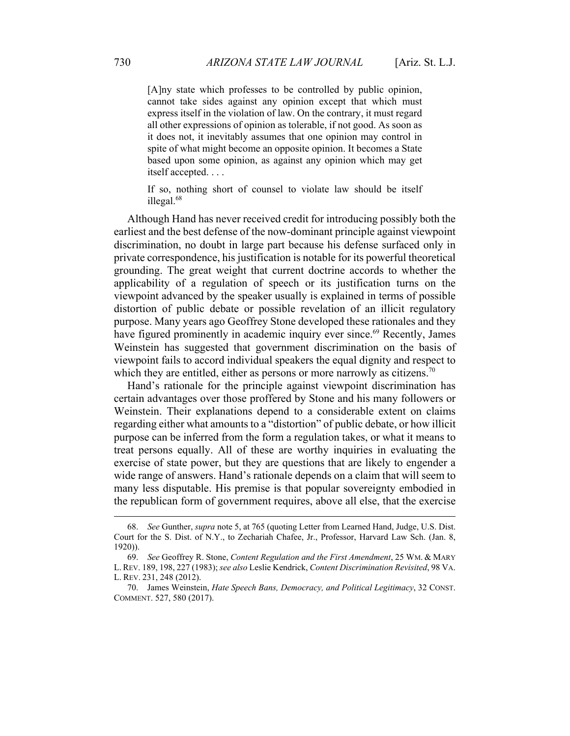[A]ny state which professes to be controlled by public opinion, cannot take sides against any opinion except that which must express itself in the violation of law. On the contrary, it must regard all other expressions of opinion as tolerable, if not good. As soon as it does not, it inevitably assumes that one opinion may control in spite of what might become an opposite opinion. It becomes a State based upon some opinion, as against any opinion which may get itself accepted. . . .

If so, nothing short of counsel to violate law should be itself illegal.68

Although Hand has never received credit for introducing possibly both the earliest and the best defense of the now-dominant principle against viewpoint discrimination, no doubt in large part because his defense surfaced only in private correspondence, his justification is notable for its powerful theoretical grounding. The great weight that current doctrine accords to whether the applicability of a regulation of speech or its justification turns on the viewpoint advanced by the speaker usually is explained in terms of possible distortion of public debate or possible revelation of an illicit regulatory purpose. Many years ago Geoffrey Stone developed these rationales and they have figured prominently in academic inquiry ever since.<sup>69</sup> Recently, James Weinstein has suggested that government discrimination on the basis of viewpoint fails to accord individual speakers the equal dignity and respect to which they are entitled, either as persons or more narrowly as citizens.<sup>70</sup>

Hand's rationale for the principle against viewpoint discrimination has certain advantages over those proffered by Stone and his many followers or Weinstein. Their explanations depend to a considerable extent on claims regarding either what amounts to a "distortion" of public debate, or how illicit purpose can be inferred from the form a regulation takes, or what it means to treat persons equally. All of these are worthy inquiries in evaluating the exercise of state power, but they are questions that are likely to engender a wide range of answers. Hand's rationale depends on a claim that will seem to many less disputable. His premise is that popular sovereignty embodied in the republican form of government requires, above all else, that the exercise

 <sup>68.</sup> *See* Gunther, *supra* note 5, at 765 (quoting Letter from Learned Hand, Judge, U.S. Dist. Court for the S. Dist. of N.Y., to Zechariah Chafee, Jr., Professor, Harvard Law Sch. (Jan. 8, 1920)).

<sup>69.</sup> *See* Geoffrey R. Stone, *Content Regulation and the First Amendment*, 25 WM. & MARY L. REV. 189, 198, 227 (1983); *see also* Leslie Kendrick, *Content Discrimination Revisited*, 98 VA. L. REV. 231, 248 (2012).

 <sup>70.</sup> James Weinstein, *Hate Speech Bans, Democracy, and Political Legitimacy*, 32 CONST. COMMENT. 527, 580 (2017).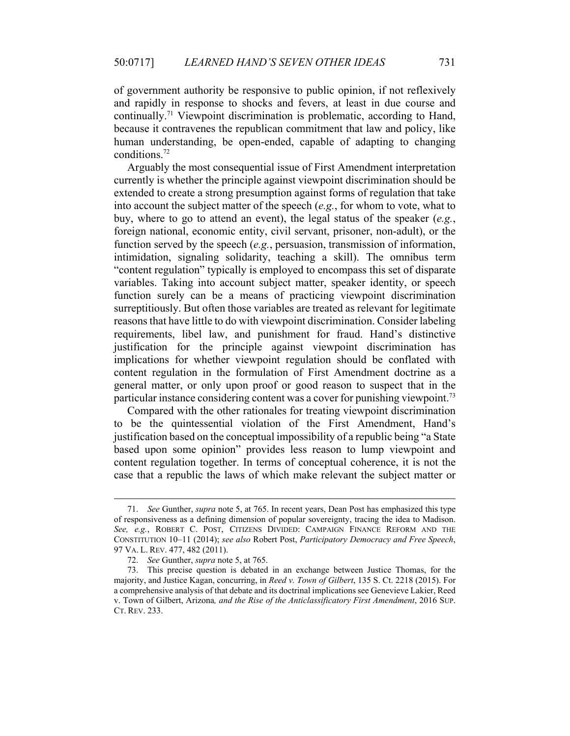of government authority be responsive to public opinion, if not reflexively and rapidly in response to shocks and fevers, at least in due course and continually.71 Viewpoint discrimination is problematic, according to Hand, because it contravenes the republican commitment that law and policy, like human understanding, be open-ended, capable of adapting to changing conditions.72

Arguably the most consequential issue of First Amendment interpretation currently is whether the principle against viewpoint discrimination should be extended to create a strong presumption against forms of regulation that take into account the subject matter of the speech (*e.g.*, for whom to vote, what to buy, where to go to attend an event), the legal status of the speaker (*e.g.*, foreign national, economic entity, civil servant, prisoner, non-adult), or the function served by the speech (*e.g.*, persuasion, transmission of information, intimidation, signaling solidarity, teaching a skill). The omnibus term "content regulation" typically is employed to encompass this set of disparate variables. Taking into account subject matter, speaker identity, or speech function surely can be a means of practicing viewpoint discrimination surreptitiously. But often those variables are treated as relevant for legitimate reasons that have little to do with viewpoint discrimination. Consider labeling requirements, libel law, and punishment for fraud. Hand's distinctive justification for the principle against viewpoint discrimination has implications for whether viewpoint regulation should be conflated with content regulation in the formulation of First Amendment doctrine as a general matter, or only upon proof or good reason to suspect that in the particular instance considering content was a cover for punishing viewpoint.<sup>73</sup>

Compared with the other rationales for treating viewpoint discrimination to be the quintessential violation of the First Amendment, Hand's justification based on the conceptual impossibility of a republic being "a State based upon some opinion" provides less reason to lump viewpoint and content regulation together. In terms of conceptual coherence, it is not the case that a republic the laws of which make relevant the subject matter or

 <sup>71.</sup> *See* Gunther, *supra* note 5, at 765. In recent years, Dean Post has emphasized this type of responsiveness as a defining dimension of popular sovereignty, tracing the idea to Madison. *See, e.g.*, ROBERT C. POST, CITIZENS DIVIDED: CAMPAIGN FINANCE REFORM AND THE CONSTITUTION 10–11 (2014); *see also* Robert Post, *Participatory Democracy and Free Speech*, 97 VA. L. REV. 477, 482 (2011).

<sup>72.</sup> *See* Gunther, *supra* note 5, at 765.

 <sup>73.</sup> This precise question is debated in an exchange between Justice Thomas, for the majority, and Justice Kagan, concurring, in *Reed v. Town of Gilbert*, 135 S. Ct. 2218 (2015). For a comprehensive analysis of that debate and its doctrinal implications see Genevieve Lakier, Reed v. Town of Gilbert, Arizona*, and the Rise of the Anticlassificatory First Amendment*, 2016 SUP. CT. REV. 233.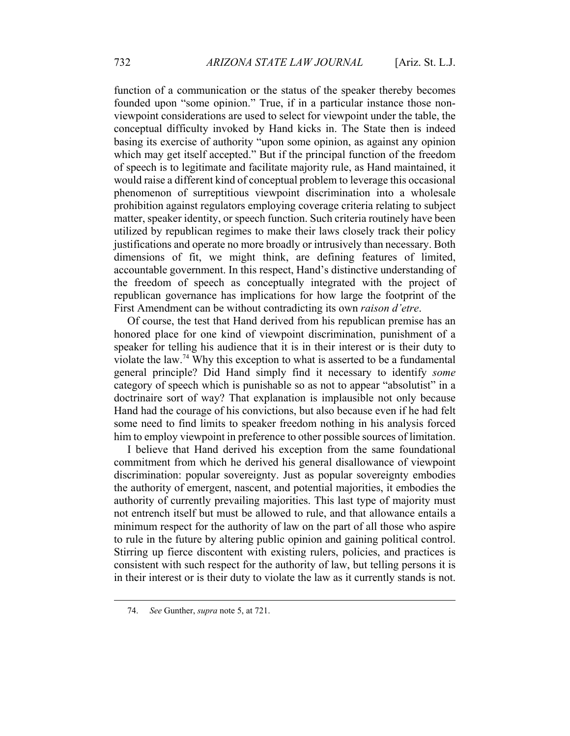function of a communication or the status of the speaker thereby becomes founded upon "some opinion." True, if in a particular instance those nonviewpoint considerations are used to select for viewpoint under the table, the conceptual difficulty invoked by Hand kicks in. The State then is indeed basing its exercise of authority "upon some opinion, as against any opinion which may get itself accepted." But if the principal function of the freedom of speech is to legitimate and facilitate majority rule, as Hand maintained, it would raise a different kind of conceptual problem to leverage this occasional phenomenon of surreptitious viewpoint discrimination into a wholesale prohibition against regulators employing coverage criteria relating to subject matter, speaker identity, or speech function. Such criteria routinely have been utilized by republican regimes to make their laws closely track their policy justifications and operate no more broadly or intrusively than necessary. Both dimensions of fit, we might think, are defining features of limited, accountable government. In this respect, Hand's distinctive understanding of the freedom of speech as conceptually integrated with the project of republican governance has implications for how large the footprint of the First Amendment can be without contradicting its own *raison d'etre*.

Of course, the test that Hand derived from his republican premise has an honored place for one kind of viewpoint discrimination, punishment of a speaker for telling his audience that it is in their interest or is their duty to violate the law.74 Why this exception to what is asserted to be a fundamental general principle? Did Hand simply find it necessary to identify *some* category of speech which is punishable so as not to appear "absolutist" in a doctrinaire sort of way? That explanation is implausible not only because Hand had the courage of his convictions, but also because even if he had felt some need to find limits to speaker freedom nothing in his analysis forced him to employ viewpoint in preference to other possible sources of limitation.

I believe that Hand derived his exception from the same foundational commitment from which he derived his general disallowance of viewpoint discrimination: popular sovereignty. Just as popular sovereignty embodies the authority of emergent, nascent, and potential majorities, it embodies the authority of currently prevailing majorities. This last type of majority must not entrench itself but must be allowed to rule, and that allowance entails a minimum respect for the authority of law on the part of all those who aspire to rule in the future by altering public opinion and gaining political control. Stirring up fierce discontent with existing rulers, policies, and practices is consistent with such respect for the authority of law, but telling persons it is in their interest or is their duty to violate the law as it currently stands is not.

 <sup>74.</sup> *See* Gunther, *supra* note 5, at 721.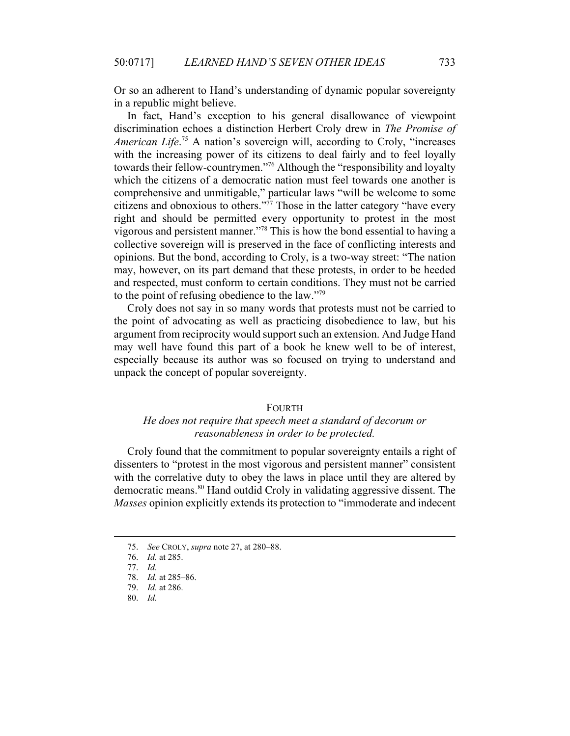Or so an adherent to Hand's understanding of dynamic popular sovereignty in a republic might believe.

In fact, Hand's exception to his general disallowance of viewpoint discrimination echoes a distinction Herbert Croly drew in *The Promise of*  American Life.<sup>75</sup> A nation's sovereign will, according to Croly, "increases with the increasing power of its citizens to deal fairly and to feel loyally towards their fellow-countrymen."76 Although the "responsibility and loyalty which the citizens of a democratic nation must feel towards one another is comprehensive and unmitigable," particular laws "will be welcome to some citizens and obnoxious to others."<sup>77</sup> Those in the latter category "have every right and should be permitted every opportunity to protest in the most vigorous and persistent manner."78 This is how the bond essential to having a collective sovereign will is preserved in the face of conflicting interests and opinions. But the bond, according to Croly, is a two-way street: "The nation may, however, on its part demand that these protests, in order to be heeded and respected, must conform to certain conditions. They must not be carried to the point of refusing obedience to the law."79

Croly does not say in so many words that protests must not be carried to the point of advocating as well as practicing disobedience to law, but his argument from reciprocity would support such an extension. And Judge Hand may well have found this part of a book he knew well to be of interest, especially because its author was so focused on trying to understand and unpack the concept of popular sovereignty.

#### FOURTH

# *He does not require that speech meet a standard of decorum or reasonableness in order to be protected.*

Croly found that the commitment to popular sovereignty entails a right of dissenters to "protest in the most vigorous and persistent manner" consistent with the correlative duty to obey the laws in place until they are altered by democratic means.<sup>80</sup> Hand outdid Croly in validating aggressive dissent. The *Masses* opinion explicitly extends its protection to "immoderate and indecent

 <sup>75.</sup> *See* CROLY, *supra* note 27, at 280–88.

 <sup>76.</sup> *Id.* at 285.

 <sup>77.</sup> *Id.*

<sup>78.</sup> *Id.* at 285–86.

<sup>79.</sup> *Id.* at 286.

<sup>80.</sup> *Id.*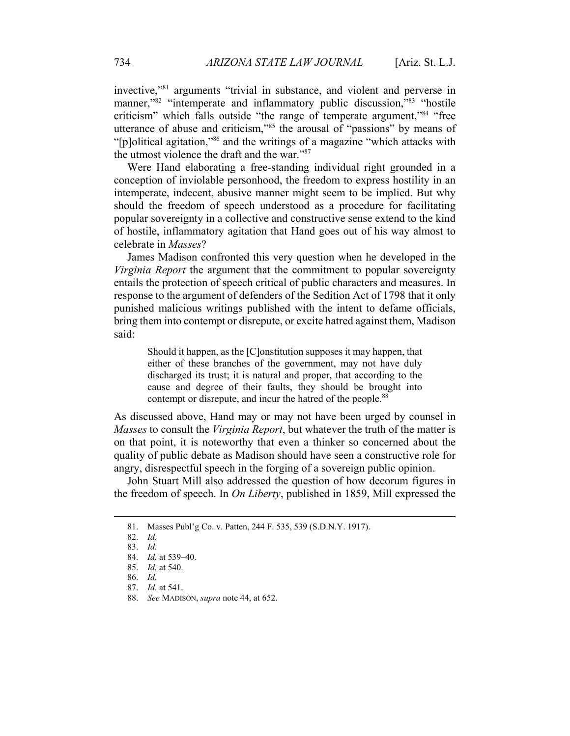invective,"81 arguments "trivial in substance, and violent and perverse in manner,"<sup>82</sup> "intemperate and inflammatory public discussion,"<sup>83</sup> "hostile" criticism" which falls outside "the range of temperate argument,"84 "free utterance of abuse and criticism,"85 the arousal of "passions" by means of "[p]olitical agitation,"86 and the writings of a magazine "which attacks with the utmost violence the draft and the war."87

Were Hand elaborating a free-standing individual right grounded in a conception of inviolable personhood, the freedom to express hostility in an intemperate, indecent, abusive manner might seem to be implied. But why should the freedom of speech understood as a procedure for facilitating popular sovereignty in a collective and constructive sense extend to the kind of hostile, inflammatory agitation that Hand goes out of his way almost to celebrate in *Masses*?

James Madison confronted this very question when he developed in the *Virginia Report* the argument that the commitment to popular sovereignty entails the protection of speech critical of public characters and measures. In response to the argument of defenders of the Sedition Act of 1798 that it only punished malicious writings published with the intent to defame officials, bring them into contempt or disrepute, or excite hatred against them, Madison said:

Should it happen, as the [C]onstitution supposes it may happen, that either of these branches of the government, may not have duly discharged its trust; it is natural and proper, that according to the cause and degree of their faults, they should be brought into contempt or disrepute, and incur the hatred of the people.<sup>88</sup>

As discussed above, Hand may or may not have been urged by counsel in *Masses* to consult the *Virginia Report*, but whatever the truth of the matter is on that point, it is noteworthy that even a thinker so concerned about the quality of public debate as Madison should have seen a constructive role for angry, disrespectful speech in the forging of a sovereign public opinion.

John Stuart Mill also addressed the question of how decorum figures in the freedom of speech. In *On Liberty*, published in 1859, Mill expressed the

 <sup>81.</sup> Masses Publ'g Co. v. Patten, 244 F. 535, 539 (S.D.N.Y. 1917).

<sup>82.</sup> *Id.*

<sup>83.</sup> *Id.*

<sup>84.</sup> *Id.* at 539–40.

<sup>85.</sup> *Id.* at 540.

<sup>86.</sup> *Id.*

<sup>87.</sup> *Id.* at 541.

<sup>88.</sup> *See* MADISON, *supra* note 44, at 652.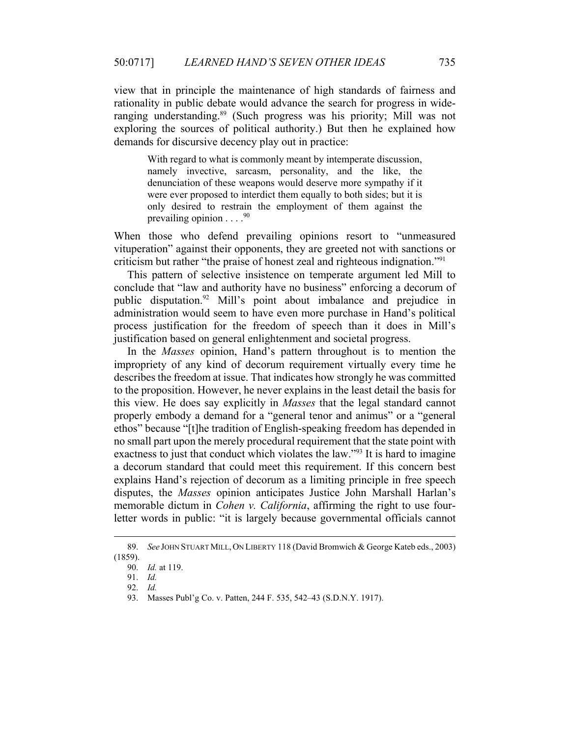view that in principle the maintenance of high standards of fairness and rationality in public debate would advance the search for progress in wideranging understanding.<sup>89</sup> (Such progress was his priority; Mill was not exploring the sources of political authority.) But then he explained how demands for discursive decency play out in practice:

With regard to what is commonly meant by intemperate discussion, namely invective, sarcasm, personality, and the like, the denunciation of these weapons would deserve more sympathy if it were ever proposed to interdict them equally to both sides; but it is only desired to restrain the employment of them against the prevailing opinion  $\ldots$ . <sup>90</sup>

When those who defend prevailing opinions resort to "unmeasured vituperation" against their opponents, they are greeted not with sanctions or criticism but rather "the praise of honest zeal and righteous indignation."91

This pattern of selective insistence on temperate argument led Mill to conclude that "law and authority have no business" enforcing a decorum of public disputation.92 Mill's point about imbalance and prejudice in administration would seem to have even more purchase in Hand's political process justification for the freedom of speech than it does in Mill's justification based on general enlightenment and societal progress.

In the *Masses* opinion, Hand's pattern throughout is to mention the impropriety of any kind of decorum requirement virtually every time he describes the freedom at issue. That indicates how strongly he was committed to the proposition. However, he never explains in the least detail the basis for this view. He does say explicitly in *Masses* that the legal standard cannot properly embody a demand for a "general tenor and animus" or a "general ethos" because "[t]he tradition of English-speaking freedom has depended in no small part upon the merely procedural requirement that the state point with exactness to just that conduct which violates the law."<sup>93</sup> It is hard to imagine a decorum standard that could meet this requirement. If this concern best explains Hand's rejection of decorum as a limiting principle in free speech disputes, the *Masses* opinion anticipates Justice John Marshall Harlan's memorable dictum in *Cohen v. California*, affirming the right to use fourletter words in public: "it is largely because governmental officials cannot

 <sup>89.</sup> *See* JOHN STUART MILL, ON LIBERTY 118 (David Bromwich & George Kateb eds., 2003) (1859).

 <sup>90.</sup> *Id.* at 119.

<sup>91.</sup> *Id.*

<sup>92.</sup> *Id.*

 <sup>93.</sup> Masses Publ'g Co. v. Patten, 244 F. 535, 542–43 (S.D.N.Y. 1917).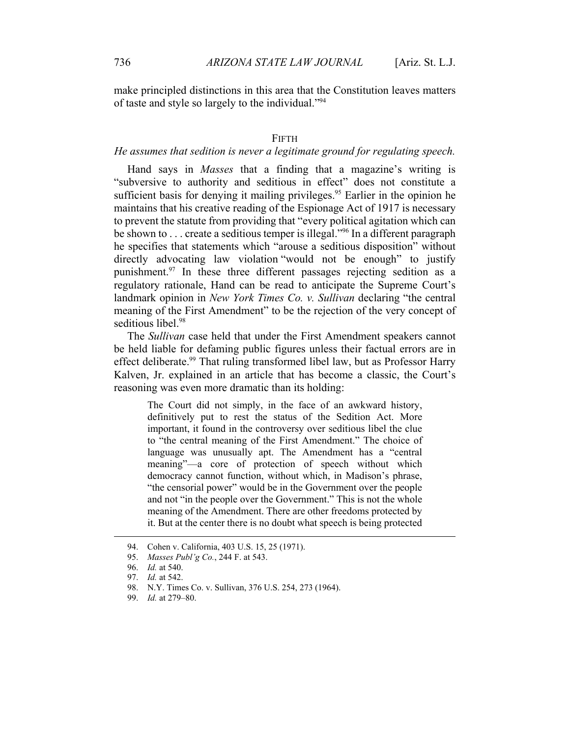make principled distinctions in this area that the Constitution leaves matters of taste and style so largely to the individual."94

#### FIFTH

## *He assumes that sedition is never a legitimate ground for regulating speech.*

Hand says in *Masses* that a finding that a magazine's writing is "subversive to authority and seditious in effect" does not constitute a sufficient basis for denying it mailing privileges.<sup>95</sup> Earlier in the opinion he maintains that his creative reading of the Espionage Act of 1917 is necessary to prevent the statute from providing that "every political agitation which can be shown to  $\ldots$  create a seditious temper is illegal."<sup>96</sup> In a different paragraph he specifies that statements which "arouse a seditious disposition" without directly advocating law violation "would not be enough" to justify punishment.97 In these three different passages rejecting sedition as a regulatory rationale, Hand can be read to anticipate the Supreme Court's landmark opinion in *New York Times Co. v. Sullivan* declaring "the central meaning of the First Amendment" to be the rejection of the very concept of seditious libel.<sup>98</sup>

The *Sullivan* case held that under the First Amendment speakers cannot be held liable for defaming public figures unless their factual errors are in effect deliberate.<sup>99</sup> That ruling transformed libel law, but as Professor Harry Kalven, Jr. explained in an article that has become a classic, the Court's reasoning was even more dramatic than its holding:

The Court did not simply, in the face of an awkward history, definitively put to rest the status of the Sedition Act. More important, it found in the controversy over seditious libel the clue to "the central meaning of the First Amendment." The choice of language was unusually apt. The Amendment has a "central meaning"—a core of protection of speech without which democracy cannot function, without which, in Madison's phrase, "the censorial power" would be in the Government over the people and not "in the people over the Government." This is not the whole meaning of the Amendment. There are other freedoms protected by it. But at the center there is no doubt what speech is being protected

 <sup>94.</sup> Cohen v. California, 403 U.S. 15, 25 (1971).

<sup>95.</sup> *Masses Publ'g Co.*, 244 F. at 543.

<sup>96.</sup> *Id.* at 540.

<sup>97.</sup> *Id.* at 542.

 <sup>98.</sup> N.Y. Times Co. v. Sullivan, 376 U.S. 254, 273 (1964).

 <sup>99.</sup> *Id.* at 279–80.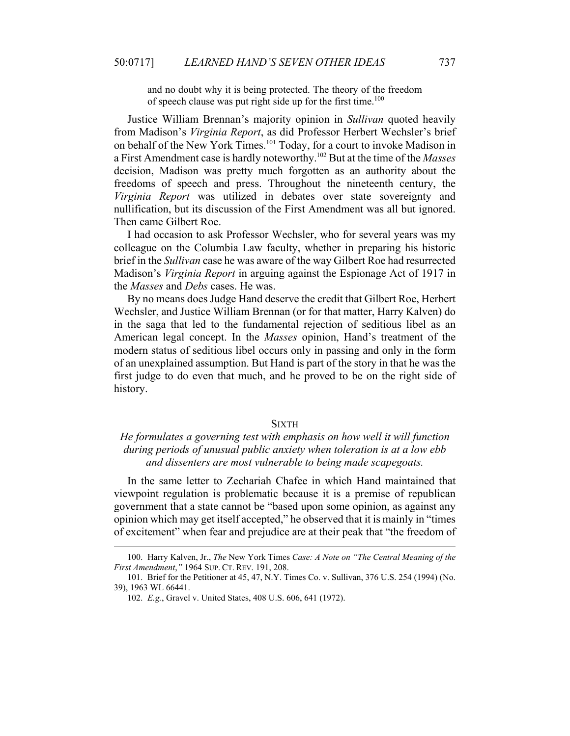and no doubt why it is being protected. The theory of the freedom of speech clause was put right side up for the first time.<sup>100</sup>

Justice William Brennan's majority opinion in *Sullivan* quoted heavily from Madison's *Virginia Report*, as did Professor Herbert Wechsler's brief on behalf of the New York Times.101 Today, for a court to invoke Madison in a First Amendment case is hardly noteworthy.102 But at the time of the *Masses* decision, Madison was pretty much forgotten as an authority about the freedoms of speech and press. Throughout the nineteenth century, the *Virginia Report* was utilized in debates over state sovereignty and nullification, but its discussion of the First Amendment was all but ignored. Then came Gilbert Roe.

I had occasion to ask Professor Wechsler, who for several years was my colleague on the Columbia Law faculty, whether in preparing his historic brief in the *Sullivan* case he was aware of the way Gilbert Roe had resurrected Madison's *Virginia Report* in arguing against the Espionage Act of 1917 in the *Masses* and *Debs* cases. He was.

By no means does Judge Hand deserve the credit that Gilbert Roe, Herbert Wechsler, and Justice William Brennan (or for that matter, Harry Kalven) do in the saga that led to the fundamental rejection of seditious libel as an American legal concept. In the *Masses* opinion, Hand's treatment of the modern status of seditious libel occurs only in passing and only in the form of an unexplained assumption. But Hand is part of the story in that he was the first judge to do even that much, and he proved to be on the right side of history.

#### **SIXTH**

## *He formulates a governing test with emphasis on how well it will function during periods of unusual public anxiety when toleration is at a low ebb and dissenters are most vulnerable to being made scapegoats.*

In the same letter to Zechariah Chafee in which Hand maintained that viewpoint regulation is problematic because it is a premise of republican government that a state cannot be "based upon some opinion, as against any opinion which may get itself accepted," he observed that it is mainly in "times of excitement" when fear and prejudice are at their peak that "the freedom of

 <sup>100.</sup> Harry Kalven, Jr., *The* New York Times *Case: A Note on "The Central Meaning of the First Amendment*,*"* 1964 SUP. CT. REV. 191, 208.

 <sup>101.</sup> Brief for the Petitioner at 45, 47, N.Y. Times Co. v. Sullivan, 376 U.S. 254 (1994) (No. 39), 1963 WL 66441.

 <sup>102.</sup> *E.g.*, Gravel v. United States, 408 U.S. 606, 641 (1972).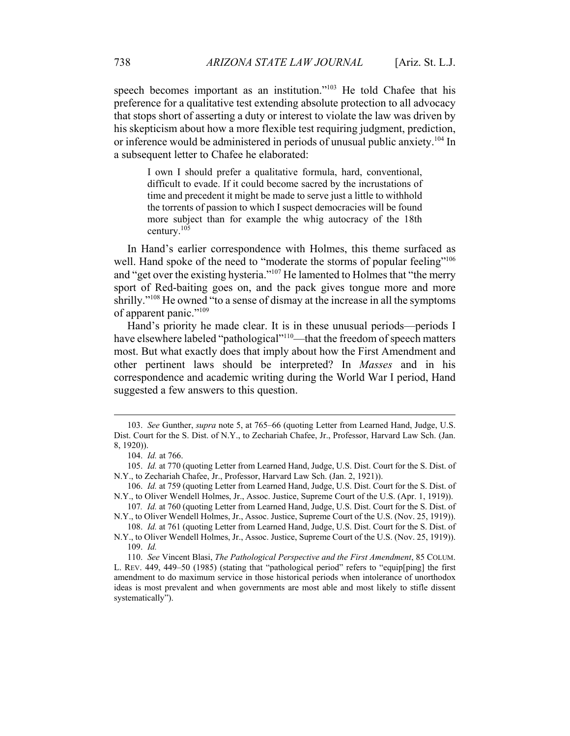speech becomes important as an institution."<sup>103</sup> He told Chafee that his preference for a qualitative test extending absolute protection to all advocacy that stops short of asserting a duty or interest to violate the law was driven by his skepticism about how a more flexible test requiring judgment, prediction, or inference would be administered in periods of unusual public anxiety.<sup>104</sup> In a subsequent letter to Chafee he elaborated:

I own I should prefer a qualitative formula, hard, conventional, difficult to evade. If it could become sacred by the incrustations of time and precedent it might be made to serve just a little to withhold the torrents of passion to which I suspect democracies will be found more subject than for example the whig autocracy of the 18th century.<sup>105</sup>

In Hand's earlier correspondence with Holmes, this theme surfaced as well. Hand spoke of the need to "moderate the storms of popular feeling"<sup>106</sup> and "get over the existing hysteria."107 He lamented to Holmes that "the merry sport of Red-baiting goes on, and the pack gives tongue more and more shrilly."<sup>108</sup> He owned "to a sense of dismay at the increase in all the symptoms of apparent panic."109

Hand's priority he made clear. It is in these unusual periods—periods I have elsewhere labeled "pathological"<sup>110</sup>—that the freedom of speech matters most. But what exactly does that imply about how the First Amendment and other pertinent laws should be interpreted? In *Masses* and in his correspondence and academic writing during the World War I period, Hand suggested a few answers to this question.

 <sup>103.</sup> *See* Gunther, *supra* note 5, at 765–66 (quoting Letter from Learned Hand, Judge, U.S. Dist. Court for the S. Dist. of N.Y., to Zechariah Chafee, Jr., Professor, Harvard Law Sch. (Jan. 8, 1920)).

 <sup>104.</sup> *Id.* at 766.

<sup>105.</sup> *Id.* at 770 (quoting Letter from Learned Hand, Judge, U.S. Dist. Court for the S. Dist. of N.Y., to Zechariah Chafee, Jr., Professor, Harvard Law Sch. (Jan. 2, 1921)).

<sup>106.</sup> *Id.* at 759 (quoting Letter from Learned Hand, Judge, U.S. Dist. Court for the S. Dist. of N.Y., to Oliver Wendell Holmes, Jr., Assoc. Justice, Supreme Court of the U.S. (Apr. 1, 1919)).

<sup>107</sup>*. Id.* at 760 (quoting Letter from Learned Hand, Judge, U.S. Dist. Court for the S. Dist. of N.Y., to Oliver Wendell Holmes, Jr., Assoc. Justice, Supreme Court of the U.S. (Nov. 25, 1919)).

<sup>108.</sup> *Id.* at 761 (quoting Letter from Learned Hand, Judge, U.S. Dist. Court for the S. Dist. of N.Y., to Oliver Wendell Holmes, Jr., Assoc. Justice, Supreme Court of the U.S. (Nov. 25, 1919)). 109. *Id.*

<sup>110.</sup> *See* Vincent Blasi, *The Pathological Perspective and the First Amendment*, 85 COLUM. L. REV. 449, 449–50 (1985) (stating that "pathological period" refers to "equip[ping] the first amendment to do maximum service in those historical periods when intolerance of unorthodox ideas is most prevalent and when governments are most able and most likely to stifle dissent systematically").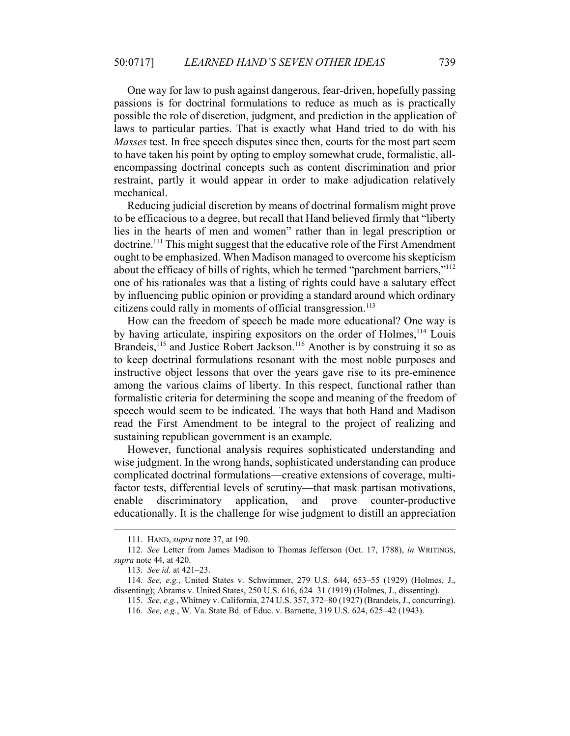One way for law to push against dangerous, fear-driven, hopefully passing passions is for doctrinal formulations to reduce as much as is practically possible the role of discretion, judgment, and prediction in the application of laws to particular parties. That is exactly what Hand tried to do with his *Masses* test. In free speech disputes since then, courts for the most part seem to have taken his point by opting to employ somewhat crude, formalistic, allencompassing doctrinal concepts such as content discrimination and prior restraint, partly it would appear in order to make adjudication relatively mechanical.

Reducing judicial discretion by means of doctrinal formalism might prove to be efficacious to a degree, but recall that Hand believed firmly that "liberty lies in the hearts of men and women" rather than in legal prescription or doctrine.111 This might suggest that the educative role of the First Amendment ought to be emphasized. When Madison managed to overcome his skepticism about the efficacy of bills of rights, which he termed "parchment barriers,"<sup>112</sup> one of his rationales was that a listing of rights could have a salutary effect by influencing public opinion or providing a standard around which ordinary citizens could rally in moments of official transgression.<sup>113</sup>

How can the freedom of speech be made more educational? One way is by having articulate, inspiring expositors on the order of Holmes,<sup>114</sup> Louis Brandeis,<sup>115</sup> and Justice Robert Jackson.<sup>116</sup> Another is by construing it so as to keep doctrinal formulations resonant with the most noble purposes and instructive object lessons that over the years gave rise to its pre-eminence among the various claims of liberty. In this respect, functional rather than formalistic criteria for determining the scope and meaning of the freedom of speech would seem to be indicated. The ways that both Hand and Madison read the First Amendment to be integral to the project of realizing and sustaining republican government is an example.

However, functional analysis requires sophisticated understanding and wise judgment. In the wrong hands, sophisticated understanding can produce complicated doctrinal formulations—creative extensions of coverage, multifactor tests, differential levels of scrutiny—that mask partisan motivations, enable discriminatory application, and prove counter-productive educationally. It is the challenge for wise judgment to distill an appreciation

 <sup>111.</sup> HAND, *supra* note 37, at 190.

<sup>112.</sup> *See* Letter from James Madison to Thomas Jefferson (Oct. 17, 1788), *in* WRITINGS, *supra* note 44, at 420.

<sup>113.</sup> *See id.* at 421–23.

<sup>114.</sup> *See, e.g.*, United States v. Schwimmer, 279 U.S. 644, 653–55 (1929) (Holmes, J., dissenting); Abrams v. United States, 250 U.S. 616, 624–31 (1919) (Holmes, J., dissenting).

 <sup>115.</sup> *See, e.g.*, Whitney v. California, 274 U.S. 357, 372–80 (1927) (Brandeis, J., concurring).

 <sup>116.</sup> *See, e.g.*, W. Va. State Bd. of Educ. v. Barnette, 319 U.S. 624, 625–42 (1943).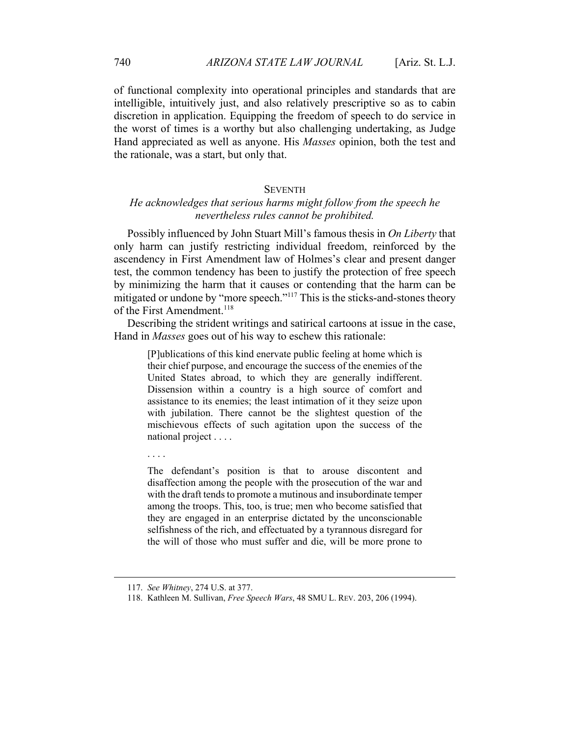of functional complexity into operational principles and standards that are intelligible, intuitively just, and also relatively prescriptive so as to cabin discretion in application. Equipping the freedom of speech to do service in the worst of times is a worthy but also challenging undertaking, as Judge Hand appreciated as well as anyone. His *Masses* opinion, both the test and the rationale, was a start, but only that.

### **SEVENTH**

## *He acknowledges that serious harms might follow from the speech he nevertheless rules cannot be prohibited.*

Possibly influenced by John Stuart Mill's famous thesis in *On Liberty* that only harm can justify restricting individual freedom, reinforced by the ascendency in First Amendment law of Holmes's clear and present danger test, the common tendency has been to justify the protection of free speech by minimizing the harm that it causes or contending that the harm can be mitigated or undone by "more speech."<sup>117</sup> This is the sticks-and-stones theory of the First Amendment.<sup>118</sup>

Describing the strident writings and satirical cartoons at issue in the case, Hand in *Masses* goes out of his way to eschew this rationale:

[P]ublications of this kind enervate public feeling at home which is their chief purpose, and encourage the success of the enemies of the United States abroad, to which they are generally indifferent. Dissension within a country is a high source of comfort and assistance to its enemies; the least intimation of it they seize upon with jubilation. There cannot be the slightest question of the mischievous effects of such agitation upon the success of the national project . . . .

. . . .

The defendant's position is that to arouse discontent and disaffection among the people with the prosecution of the war and with the draft tends to promote a mutinous and insubordinate temper among the troops. This, too, is true; men who become satisfied that they are engaged in an enterprise dictated by the unconscionable selfishness of the rich, and effectuated by a tyrannous disregard for the will of those who must suffer and die, will be more prone to

 <sup>117.</sup> *See Whitney*, 274 U.S. at 377.

 <sup>118.</sup> Kathleen M. Sullivan, *Free Speech Wars*, 48 SMU L. REV. 203, 206 (1994).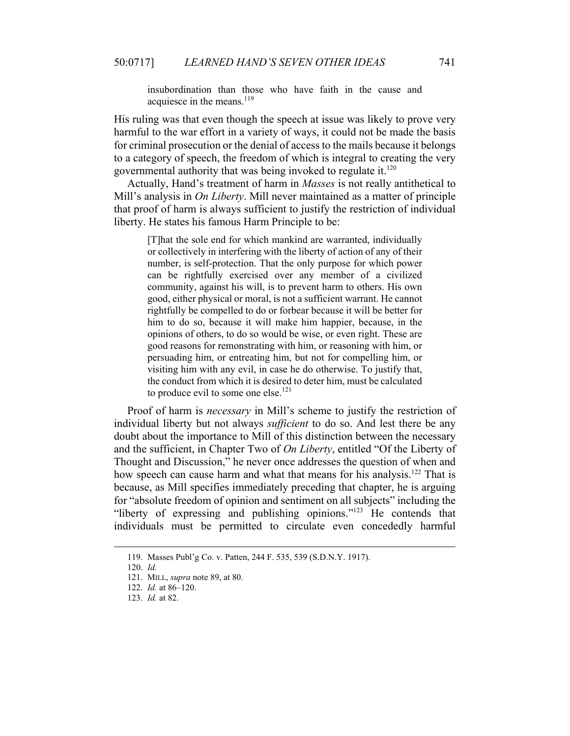insubordination than those who have faith in the cause and acquiesce in the means. $^{119}$ 

His ruling was that even though the speech at issue was likely to prove very harmful to the war effort in a variety of ways, it could not be made the basis for criminal prosecution or the denial of access to the mails because it belongs to a category of speech, the freedom of which is integral to creating the very governmental authority that was being invoked to regulate it.120

Actually, Hand's treatment of harm in *Masses* is not really antithetical to Mill's analysis in *On Liberty*. Mill never maintained as a matter of principle that proof of harm is always sufficient to justify the restriction of individual liberty. He states his famous Harm Principle to be:

[T]hat the sole end for which mankind are warranted, individually or collectively in interfering with the liberty of action of any of their number, is self-protection. That the only purpose for which power can be rightfully exercised over any member of a civilized community, against his will, is to prevent harm to others. His own good, either physical or moral, is not a sufficient warrant. He cannot rightfully be compelled to do or forbear because it will be better for him to do so, because it will make him happier, because, in the opinions of others, to do so would be wise, or even right. These are good reasons for remonstrating with him, or reasoning with him, or persuading him, or entreating him, but not for compelling him, or visiting him with any evil, in case he do otherwise. To justify that, the conduct from which it is desired to deter him, must be calculated to produce evil to some one else. $121$ 

Proof of harm is *necessary* in Mill's scheme to justify the restriction of individual liberty but not always *sufficient* to do so. And lest there be any doubt about the importance to Mill of this distinction between the necessary and the sufficient, in Chapter Two of *On Liberty*, entitled "Of the Liberty of Thought and Discussion," he never once addresses the question of when and how speech can cause harm and what that means for his analysis.<sup>122</sup> That is because, as Mill specifies immediately preceding that chapter, he is arguing for "absolute freedom of opinion and sentiment on all subjects" including the "liberty of expressing and publishing opinions."123 He contends that individuals must be permitted to circulate even concededly harmful

 <sup>119.</sup> Masses Publ'g Co. v. Patten, 244 F. 535, 539 (S.D.N.Y. 1917).

 <sup>120.</sup> *Id.*

 <sup>121.</sup> MILL, *supra* note 89, at 80.

<sup>122.</sup> *Id.* at 86–120.

<sup>123.</sup> *Id.* at 82.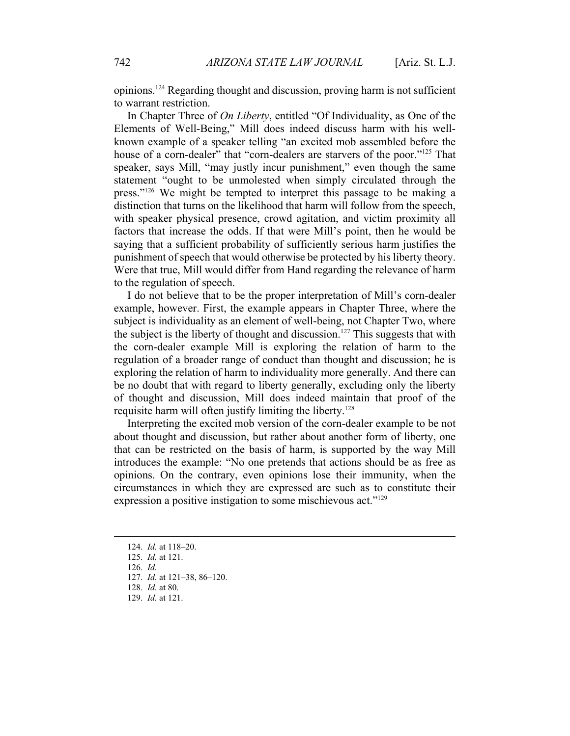opinions.124 Regarding thought and discussion, proving harm is not sufficient to warrant restriction.

In Chapter Three of *On Liberty*, entitled "Of Individuality, as One of the Elements of Well-Being," Mill does indeed discuss harm with his wellknown example of a speaker telling "an excited mob assembled before the house of a corn-dealer" that "corn-dealers are starvers of the poor."<sup>125</sup> That speaker, says Mill, "may justly incur punishment," even though the same statement "ought to be unmolested when simply circulated through the press."126 We might be tempted to interpret this passage to be making a distinction that turns on the likelihood that harm will follow from the speech, with speaker physical presence, crowd agitation, and victim proximity all factors that increase the odds. If that were Mill's point, then he would be saying that a sufficient probability of sufficiently serious harm justifies the punishment of speech that would otherwise be protected by his liberty theory. Were that true, Mill would differ from Hand regarding the relevance of harm to the regulation of speech.

I do not believe that to be the proper interpretation of Mill's corn-dealer example, however. First, the example appears in Chapter Three, where the subject is individuality as an element of well-being, not Chapter Two, where the subject is the liberty of thought and discussion.<sup>127</sup> This suggests that with the corn-dealer example Mill is exploring the relation of harm to the regulation of a broader range of conduct than thought and discussion; he is exploring the relation of harm to individuality more generally. And there can be no doubt that with regard to liberty generally, excluding only the liberty of thought and discussion, Mill does indeed maintain that proof of the requisite harm will often justify limiting the liberty.<sup>128</sup>

Interpreting the excited mob version of the corn-dealer example to be not about thought and discussion, but rather about another form of liberty, one that can be restricted on the basis of harm, is supported by the way Mill introduces the example: "No one pretends that actions should be as free as opinions. On the contrary, even opinions lose their immunity, when the circumstances in which they are expressed are such as to constitute their expression a positive instigation to some mischievous act."<sup>129</sup>

126. *Id.*

129. *Id.* at 121.

 <sup>124.</sup> *Id.* at 118–20.

<sup>125.</sup> *Id.* at 121.

 <sup>127.</sup> *Id.* at 121–38, 86–120.

 <sup>128.</sup> *Id.* at 80.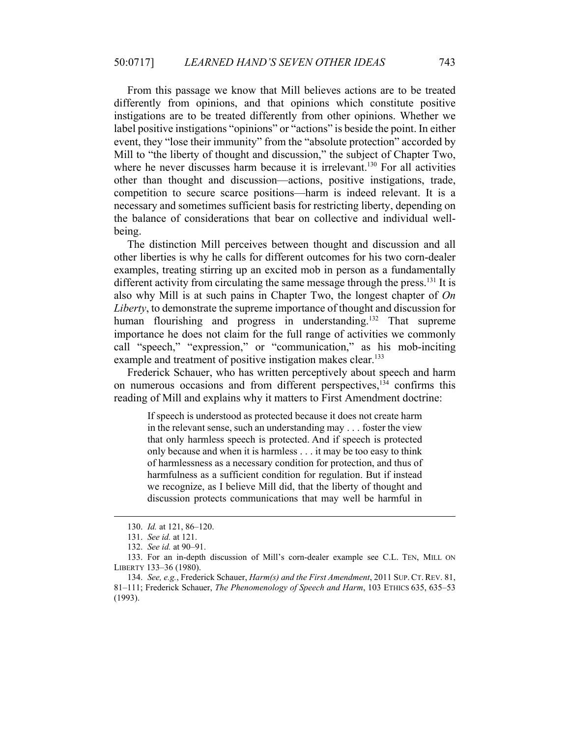From this passage we know that Mill believes actions are to be treated differently from opinions, and that opinions which constitute positive instigations are to be treated differently from other opinions. Whether we label positive instigations "opinions" or "actions" is beside the point. In either event, they "lose their immunity" from the "absolute protection" accorded by Mill to "the liberty of thought and discussion," the subject of Chapter Two, where he never discusses harm because it is irrelevant.<sup>130</sup> For all activities other than thought and discussion—actions, positive instigations, trade, competition to secure scarce positions—harm is indeed relevant. It is a necessary and sometimes sufficient basis for restricting liberty, depending on the balance of considerations that bear on collective and individual wellbeing.

The distinction Mill perceives between thought and discussion and all other liberties is why he calls for different outcomes for his two corn-dealer examples, treating stirring up an excited mob in person as a fundamentally different activity from circulating the same message through the press.<sup>131</sup> It is also why Mill is at such pains in Chapter Two, the longest chapter of *On Liberty*, to demonstrate the supreme importance of thought and discussion for human flourishing and progress in understanding.<sup>132</sup> That supreme importance he does not claim for the full range of activities we commonly call "speech," "expression," or "communication," as his mob-inciting example and treatment of positive instigation makes clear.<sup>133</sup>

Frederick Schauer, who has written perceptively about speech and harm on numerous occasions and from different perspectives,<sup>134</sup> confirms this reading of Mill and explains why it matters to First Amendment doctrine:

If speech is understood as protected because it does not create harm in the relevant sense, such an understanding may . . . foster the view that only harmless speech is protected. And if speech is protected only because and when it is harmless . . . it may be too easy to think of harmlessness as a necessary condition for protection, and thus of harmfulness as a sufficient condition for regulation. But if instead we recognize, as I believe Mill did, that the liberty of thought and discussion protects communications that may well be harmful in

 <sup>130.</sup> *Id.* at 121, 86–120.

 <sup>131.</sup> *See id.* at 121.

 <sup>132.</sup> *See id.* at 90–91.

 <sup>133.</sup> For an in-depth discussion of Mill's corn-dealer example see C.L. TEN, MILL ON LIBERTY 133–36 (1980).

<sup>134.</sup> *See, e.g.*, Frederick Schauer, *Harm(s) and the First Amendment*, 2011 SUP. CT. REV. 81, 81–111; Frederick Schauer, *The Phenomenology of Speech and Harm*, 103 ETHICS 635, 635–53 (1993).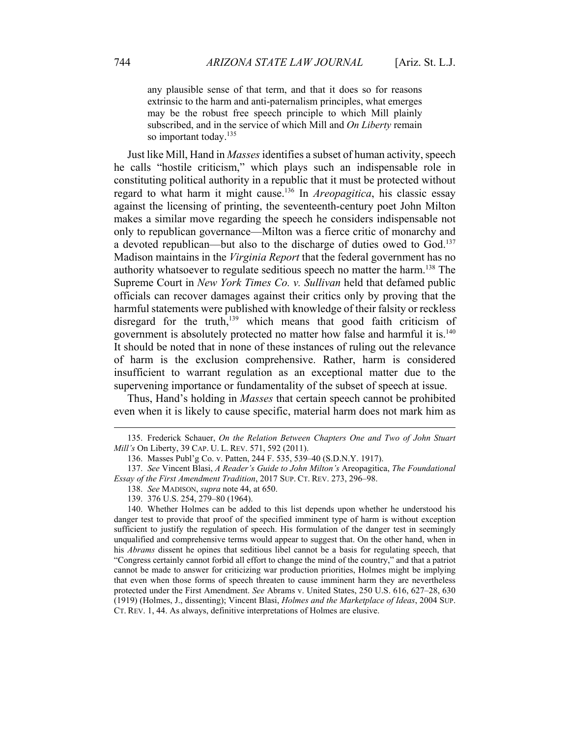any plausible sense of that term, and that it does so for reasons extrinsic to the harm and anti-paternalism principles, what emerges may be the robust free speech principle to which Mill plainly subscribed, and in the service of which Mill and *On Liberty* remain so important today.<sup>135</sup>

Just like Mill, Hand in *Masses* identifies a subset of human activity, speech he calls "hostile criticism," which plays such an indispensable role in constituting political authority in a republic that it must be protected without regard to what harm it might cause.136 In *Areopagitica*, his classic essay against the licensing of printing, the seventeenth-century poet John Milton makes a similar move regarding the speech he considers indispensable not only to republican governance—Milton was a fierce critic of monarchy and a devoted republican—but also to the discharge of duties owed to God.<sup>137</sup> Madison maintains in the *Virginia Report* that the federal government has no authority whatsoever to regulate seditious speech no matter the harm.<sup>138</sup> The Supreme Court in *New York Times Co. v. Sullivan* held that defamed public officials can recover damages against their critics only by proving that the harmful statements were published with knowledge of their falsity or reckless disregard for the truth, $139$  which means that good faith criticism of government is absolutely protected no matter how false and harmful it is.<sup>140</sup> It should be noted that in none of these instances of ruling out the relevance of harm is the exclusion comprehensive. Rather, harm is considered insufficient to warrant regulation as an exceptional matter due to the supervening importance or fundamentality of the subset of speech at issue.

Thus, Hand's holding in *Masses* that certain speech cannot be prohibited even when it is likely to cause specific, material harm does not mark him as

 <sup>135.</sup> Frederick Schauer, *On the Relation Between Chapters One and Two of John Stuart Mill's* On Liberty, 39 CAP. U. L. REV. 571, 592 (2011).

 <sup>136.</sup> Masses Publ'g Co. v. Patten, 244 F. 535, 539–40 (S.D.N.Y. 1917).

<sup>137.</sup> *See* Vincent Blasi, *A Reader's Guide to John Milton's* Areopagitica, *The Foundational Essay of the First Amendment Tradition*, 2017 SUP. CT. REV. 273, 296–98.

<sup>138.</sup> *See* MADISON, *supra* note 44, at 650.

 <sup>139. 376</sup> U.S. 254, 279–80 (1964).

 <sup>140.</sup> Whether Holmes can be added to this list depends upon whether he understood his danger test to provide that proof of the specified imminent type of harm is without exception sufficient to justify the regulation of speech. His formulation of the danger test in seemingly unqualified and comprehensive terms would appear to suggest that. On the other hand, when in his *Abrams* dissent he opines that seditious libel cannot be a basis for regulating speech, that "Congress certainly cannot forbid all effort to change the mind of the country," and that a patriot cannot be made to answer for criticizing war production priorities, Holmes might be implying that even when those forms of speech threaten to cause imminent harm they are nevertheless protected under the First Amendment. *See* Abrams v. United States, 250 U.S. 616, 627–28, 630 (1919) (Holmes, J., dissenting); Vincent Blasi, *Holmes and the Marketplace of Ideas*, 2004 SUP. CT. REV. 1, 44. As always, definitive interpretations of Holmes are elusive.